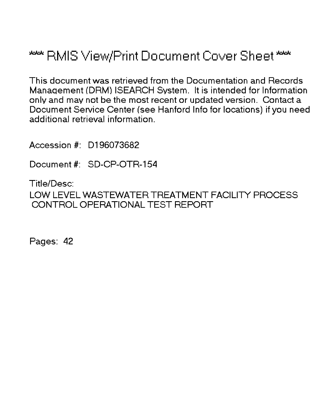# \*\*\* RMIS View/Print Document Cover Sheet \*\*\*

This document was retrieved from the Documentation and Records Manaqement (DRM) ISEARCH System. It is intended for Information only and may not be the most recent or updated version. Contact a Document Service Center (see Hanford Info for locations) if you need additional retrieval information.

Accession #: D196073682

Document #: SD-CP-OTR-154

Title/Desc: LOW LEVEL WASTEWATER TREATMENT FACILITY PROCESS CONTROL OPERATIONAL TEST REPORT

Pages: 42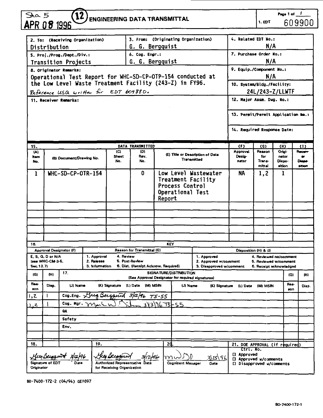| $\overline{S}_{AB}$ |                     |                                 |                                       |                            |                                                                                                                       |        |                                     |                                                   |                                                                                |                                                  | Page 1 of 1               |     |                     |
|---------------------|---------------------|---------------------------------|---------------------------------------|----------------------------|-----------------------------------------------------------------------------------------------------------------------|--------|-------------------------------------|---------------------------------------------------|--------------------------------------------------------------------------------|--------------------------------------------------|---------------------------|-----|---------------------|
|                     |                     | $\bf{12}$                       |                                       |                            | <b>ENGINEERING DATA TRANSMITTAL</b>                                                                                   |        |                                     |                                                   |                                                                                | 1. EDT                                           |                           |     | 609900              |
|                     | APR 0 <i>8</i> 1996 |                                 |                                       |                            |                                                                                                                       |        |                                     |                                                   |                                                                                |                                                  |                           |     |                     |
|                     |                     | 2. To: (Receiving Organization) |                                       |                            | 3. From: (Originating Organization)                                                                                   |        |                                     |                                                   | 4. Related EDT No.:                                                            |                                                  |                           |     |                     |
|                     | Distribution        |                                 |                                       |                            | G. G. Bergquist                                                                                                       |        |                                     |                                                   |                                                                                | N/A                                              |                           |     |                     |
|                     |                     | 5. Proj./Prog./Dept./Div.:      |                                       |                            | 6. Cog. Engr.:                                                                                                        |        |                                     |                                                   | 7. Purchase Order No.:                                                         |                                                  |                           |     |                     |
|                     |                     | <b>Transition Projects</b>      |                                       |                            | G. G. Bergquist                                                                                                       |        |                                     |                                                   |                                                                                | N/A                                              |                           |     |                     |
|                     |                     | 8. Originator Remarks:          |                                       |                            |                                                                                                                       |        |                                     |                                                   | 9. Equip./Component No.:                                                       |                                                  |                           |     |                     |
|                     |                     |                                 |                                       |                            | Operational Test Report for WHC-SD-CP-OTP-154 conducted at<br>the Low Level Waste Treatment Facility (243-Z) in FY96. |        |                                     |                                                   |                                                                                | N/A                                              |                           |     |                     |
|                     |                     |                                 |                                       |                            |                                                                                                                       |        |                                     |                                                   | 10. System/Bldg./Facility:                                                     |                                                  |                           |     |                     |
|                     |                     |                                 | Reference USQ written for EDT 609880. |                            |                                                                                                                       |        |                                     |                                                   | 12. Major Assm. Dwg. No.:                                                      | 24L/243-Z/LLWTF                                  |                           |     |                     |
|                     |                     | 11. Receiver Remarks:           |                                       |                            |                                                                                                                       |        |                                     |                                                   |                                                                                |                                                  |                           |     |                     |
|                     |                     |                                 |                                       |                            |                                                                                                                       |        |                                     |                                                   | 13. Permit/Permit Application No.:                                             |                                                  |                           |     |                     |
|                     |                     |                                 |                                       |                            |                                                                                                                       |        |                                     |                                                   | 14. Required Response Date:                                                    |                                                  |                           |     |                     |
| 15.                 |                     |                                 |                                       |                            | DATA TRANSMITTED                                                                                                      |        |                                     |                                                   | (F)                                                                            | (G)                                              | (H)                       |     | 31)                 |
| (A)                 |                     |                                 |                                       | (C)                        | (D)                                                                                                                   |        |                                     | (E) Title or Description of Date                  | Approval                                                                       | Resson                                           | Origi-                    |     | Recen               |
| Item<br>No.         |                     | (B) Document/Drawing No.        |                                       | Sheet<br>No.               | Rov.<br>No.                                                                                                           |        | Transmitted                         |                                                   | Desig-<br>nator                                                                | for<br>Trans-<br>mittal                          | nator<br>Diepo-<br>sition |     | <br>Dispe<br>sition |
| 1                   |                     | WHC-SD-CP-OTR-154               |                                       |                            | 0                                                                                                                     | Report | Process Control<br>Operational Test | Low Level Wastewater<br>Treatment Facility        | NA<br>1.2<br>1                                                                 |                                                  |                           |     |                     |
|                     |                     |                                 |                                       |                            |                                                                                                                       |        |                                     |                                                   |                                                                                |                                                  |                           |     |                     |
|                     |                     |                                 |                                       |                            |                                                                                                                       |        |                                     |                                                   |                                                                                |                                                  |                           |     |                     |
|                     |                     |                                 |                                       |                            |                                                                                                                       |        |                                     |                                                   |                                                                                |                                                  |                           |     |                     |
|                     |                     |                                 |                                       |                            |                                                                                                                       |        |                                     |                                                   |                                                                                |                                                  |                           |     |                     |
|                     |                     |                                 |                                       |                            |                                                                                                                       |        |                                     |                                                   |                                                                                |                                                  |                           |     |                     |
| 16.                 |                     | Approval Designator (F)         |                                       |                            | Reason for Transmittal (G)                                                                                            |        | <b>KEY</b>                          |                                                   |                                                                                |                                                  |                           |     |                     |
|                     | E. S. Q. D or N/A   |                                 | 1. Approval                           | 4. Review                  |                                                                                                                       |        |                                     | 1. Approved                                       | Disposition (H) & (I)                                                          | 4. Reviewed no/comment                           |                           |     |                     |
| Sec. 12.7)          | (see WHC-CM-3-5,    |                                 | 2. Rolease<br>3. Information          |                            | 5. Post-Review<br>6. Dist. (Receipt Acknow. Required)                                                                 |        |                                     | 2. Approved w/comment<br>3. Disapproved w/comment |                                                                                | 5. Reviewed w/comment<br>6. Receipt acknowledged |                           |     |                     |
| (G)                 | 0B                  | 17.                             |                                       |                            | (See Approval Designator for required signatures)                                                                     |        | SIGNATURE/DISTRIBUTION              |                                                   |                                                                                |                                                  |                           | (G) | (H)                 |
| Ros-<br>son         | Disp.               | (J) Name                        |                                       |                            | (K) Signature (L) Date (M) MSIN                                                                                       |        | (J) Name                            |                                                   | floa-<br>(K) Signature (L) Date (M) MSIN<br>Diep.<br>son.                      |                                                  |                           |     |                     |
| 1,2                 | т                   |                                 |                                       |                            | Cog. Eng. This Beigguin 3/12/96 75-55                                                                                 |        |                                     |                                                   |                                                                                |                                                  |                           |     |                     |
| ج.                  |                     |                                 | Cog. Mgr. Mark in                     |                            | $\sqrt[3]{3}$ $\sqrt[3]{2}$ $\sqrt[3]{2}$ $\sqrt[3]{2}$ $\sqrt[3]{2}$                                                 |        |                                     |                                                   |                                                                                |                                                  |                           |     |                     |
|                     |                     | ۵A                              |                                       |                            |                                                                                                                       |        |                                     |                                                   |                                                                                |                                                  |                           |     |                     |
|                     |                     | Safety                          |                                       |                            |                                                                                                                       |        |                                     |                                                   |                                                                                |                                                  |                           |     |                     |
|                     |                     | Env.                            |                                       |                            |                                                                                                                       |        |                                     |                                                   |                                                                                |                                                  |                           |     |                     |
|                     |                     |                                 |                                       |                            |                                                                                                                       |        |                                     |                                                   |                                                                                |                                                  |                           |     |                     |
| 18.                 |                     |                                 | 19.                                   |                            |                                                                                                                       |        | 2d                                  |                                                   | 21. DOE APPROVAL (if required)                                                 |                                                  |                           |     |                     |
| Originator          |                     | Huy Bergent 3/12/96             |                                       | for Receiving Organization | Hey Beefgrant 3/12/96                                                                                                 |        | mu<br><b>Cognizant Manager</b>      | Date                                              | Ctrl.Wo.<br>[] Approved<br>[] Approved w/comments<br>[] Disapproved w/comments |                                                  |                           |     |                     |

BD-7400-172-2 (04/94) GEF097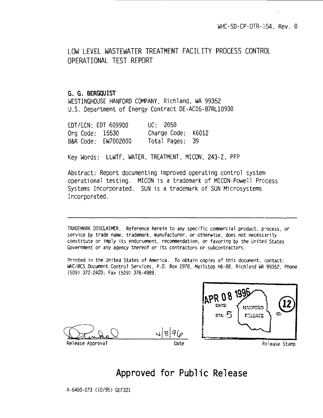LOW LEVEL WASTEWATER TREATMENT FACILITY PROCESS CONTROL OPERATIONAL TEST REPORT

### **G. 6. BERGQUIST**

WESTINGHOUSE HANFORD COMPANY. RiChi and. WA 99352 U.S. Department of Energy Contract DE-AC06-87RL10930

| EDT/ECN: EDT 609900 | UC: 2050           |  |
|---------------------|--------------------|--|
| Org Code: 15530     | Charge Code: K6012 |  |
| B&R Code: EW7002000 | Total Pages: 39    |  |

Key Words: LLWTF, WATER. TREATMENT. MICON, 243-Z. PFP

Abstract: Report documenting improved operating control system operational testing. MICON is a trademark of MICON-Powell Process Systems Incorporated. SUN is a trademark of SUN Microsystems Incorporated.

TRADEMARK DISCLAIMER. Reference herein to any specific commercial product, process, or service by trade name, trademark, manufacturer, or otherwise, does not necessarily constitute or imply its endorsement, recommendation, or favoring by the United States Government or any agency thereof or its contractors or subcontractors.

Printed in the United States of America. To obtain copies of this document, contact: WHC/BCS Document Control Services. P.O. Box 1970. Mailstop H6-08. Richland WA 99352, Phone (509) 372-2420; Fax (509) 376-4989.

 $819$ 





# **Approved for Public Release**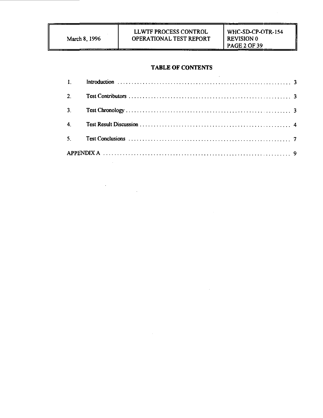$\label{eq:2.1} \frac{1}{\sqrt{2}}\int_{\mathbb{R}^3}\frac{1}{\sqrt{2}}\left(\frac{1}{\sqrt{2}}\right)^2\frac{1}{\sqrt{2}}\left(\frac{1}{\sqrt{2}}\right)^2\frac{1}{\sqrt{2}}\left(\frac{1}{\sqrt{2}}\right)^2.$ 

#### **TABLE OF CONTENTS**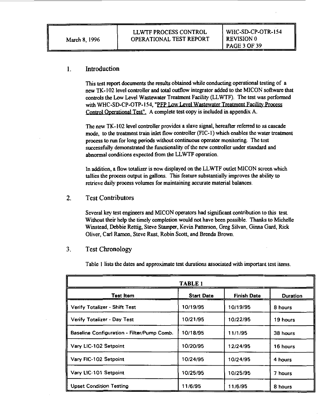#### Introduction  $\mathbf{1}$

This test report documents the results obtained while conducting operational testing of a new TK-102 level controller and total outflow integrator added to the MICON software that controls the Low Level Wastewater Treatment Facility (LLWTF). The test was performed with WHC-SD-CP-OTP-154, "PFP Low Level Wastewater Treatment Facility Process Control Operational Test". A complete test copy is included in appendix A.

The new TK-102 level controller provides a slave signal, hereafter referred to as cascade mode, to the treatment train inlet flow controller (FIC-1) which enables the water treatment process to run for long periods without continuous operator monitoring. The test successfully demonstrated the functionality of the new controller under standard and abnormal conditions expected from the LLWTF operation.

In addition, a flow totalizer is now displayed on the LLWTF outlet MICON screen which tallies the process output in gallons. This feature substantially improves the ability to retrieve daily process volumes for maintaining accurate material balances.

 $2<sup>1</sup>$ Test Contributors

> Several key test engineers and MICON operators had significant contribution to this test. Without their help the timely completion would not have been possible. Thanks to Michelle Winstead, Debbie Rettig, Steve Stamper, Kevin Patterson, Greg Silvan, Ginna Gard, Rick Oliver, Carl Ramon, Steve Rust, Robin Scott, and Brenda Brown.

#### $3<sub>1</sub>$ Test Chronology

Table 1 lists the dates and approximate test durations associated with important test items.

| <b>TABLE 1</b>                             |                   |                    |                 |  |  |  |
|--------------------------------------------|-------------------|--------------------|-----------------|--|--|--|
| <b>Test Item</b>                           | <b>Start Date</b> | <b>Finish Date</b> | <b>Duration</b> |  |  |  |
| Verify Totalizer - Shift Test              | 10/19/95          | 10/19/95           | 8 hours         |  |  |  |
| Verify Totalizer - Day Test                | 10/21/95          | 10/22/95           | 19 hours        |  |  |  |
| Baseline Configuration - Filter/Pump Comb. | 10/18/95          | 11/1/95            | 38 hours        |  |  |  |
| Vary LIC-102 Setpoint                      | 10/20/95          | 12/24/95           | 16 hours        |  |  |  |
| Vary FIC-102 Setpoint                      | 10/24/95          | 10/24/95           | 4 hours         |  |  |  |
| Vary LIC-101 Setpoint                      | 10/25/95          | 10/25/95           | 7 hours         |  |  |  |
| <b>Upset Condition Testing</b>             | 11/6/95           | 11/6/95            | 8 hours         |  |  |  |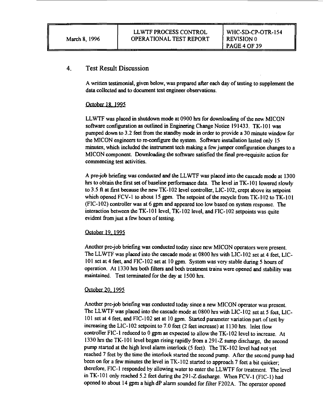#### 4. Test Result Discussion

**A written testimonial, given below, was prepared after each day of testing to supplement the data collected and to document test engineer observations.**

#### **October 18. 1995**

**LLWTF was placed in shutdown mode at 0900 hrs for downloading of the new MICON software configuration as outlined in Enginering Change Notice 191433. TK-101 was pumped down to 3.2 feet from the standby mode in order to provide a 30 minute window for the MICON engineers to re-configure the system. Software installation lasted only 15 minutes, which included the instrument tech making a few jumper configuration changes to a MICON component. Downloading the software satisfied the final prc-rcquisitc action for commencing test activities.**

**A pre-job briefing was conducted and the LLWTF was placed into the cascade mode at 1300 hrs to obtain the first set of baseline performance data. The level in TK-101 lowered slowly to 3.5 ft at first because the new TK-102 level controller, LIC-102, crept above its setpoint which opened FCV-1 to about 15 gpm. The setpoint of the recycle from TK-102 to TK-101 (FIC-102) controller was at 6 gpm and appeared too low based on system response. The interaction between the TK-101 level, TK-102 level, and FIC-102 setpoints was quite evident from just a few hours of testing.**

#### **October 19 1995**

**Another pre-job briefing was conducted today since new MICON operators were present. The LLWTF was placed into the cascade mode at 0800 hrs with LIC-102 set at 4 feet, LIC-101 set at 4 feet, and FIC-102 set at 10 gpm. System was very stable during 5 hours of operation. At 1330 hrs both filters and both treatment trains were opened and stability was maintained. Test terminated for the day at 1500 hrs.**

#### **October 20. 1995**

**Another pre-job briefing was conducted today since a new MICON operator was present. The LLWTF was placed into the cascade mode at 0800 hrs with LIC-102 set at 5 feet, LIC-101 set at 4 feet, and FIC-102 set at 10 gpm. Started parameter variation part of test by increasing the LIC-102 setpoint to 7.0 feet (2 feet increase) at 1130 hrs. Inlet flow controller FIC-1 reduced to 0 gpm as expected to allow the TK-102 level to increase. At 1330 hrs the TK-101 level began rising rapidly from a 291-Z sump discharge, the second pump started at the high level alarm interlock (5 feet). The TK-102 level had not yet reached 7 feet by the time the interlock started the second pump. After the second pump had been on for a few minutes the level in TK-102 started to approach 7 feet a bit quicker; therefore, FIC-1 responded by allowing water to enter the LLWTF for treatment. The level in TK-101 only reached 5.2 feet during the 291-Z discharge. When FCV-1 (FIC-1) had opened to about 14 gpm a high dP alarm sounded for filter F202A. The operator opened**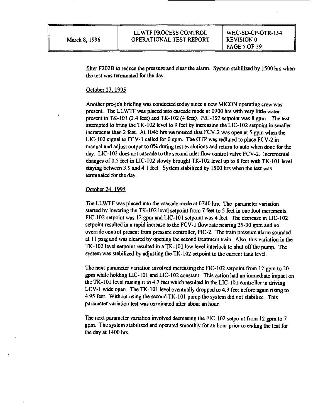filter F202B to reduce the pressure and clear the alarm. System stabilized by 1500 hrs when the test was terminated for the day.

#### October 23. 1995

Another pre-job briefing was conducted today since a new MICON operating crew was present. The LLWTF was placed into cascade mode at 0900 hrs with very little water present in TK-101 (3.4 feet) and TK-102 (4 feet). FIC-102 setpoint was 8 gpm. The test attempted to bring the TK-102 level to 9 feet by increasing the LIC-102 setpoint in smaller increments than 2 feet. At 1045 hrs we noticed that FCV-2 was open at 5 gpm when the LIC-102 signal to FCV-1 called for 0 gpm. The OTP was redlined to place FCV-2 in manual and adjust output to 0% during test evolutions and return to auto when done for the day. LIC-102 does not cascade to the second inlet flow control valve FCV-2. Incremental changes of 0.5 feet in LIC-102 slowly brought TK-102 level up to 8 feet with TK-101 level staying between 3.9 and 4.1 feet. System stabilized by 1500 hrs when the test was terminated for the day.

#### October 24. 1995

The LLWTF was placed into the cascade mode at 0740 hrs. The parameter variation started by lowering the TK-102 level setpoint from 7 feet to 5 feet in one foot increments. FIC-102 setpoint was 12 gpm and LIC-101 setpoint was 4 feet. The decrease in LIC-102 setpoint resulted in a rapid increase to the FCV-1 flow rate ncaring 25-30 gpm and no override control present from pressure controller, PIC-2. The train pressure alarm sounded at 11 psig and was cleared by opening the second treatment train. Also, this variation in the TK-102 level setpoint resulted in a TK-101 low level interlock to shut off the pump. The system was stabilized by adjusting the TK-102 setpoint to the current tank level.

The next parameter variation involved increasing the FIC-102 setpoint from 12 gpm to 20 gpm while holding LIC-101 and LIC-102 constant. This action had an immediate impact on the TK-101 level raising it to 4.7 feet which resulted in the LIC-101 controller in driving LCV-1 wide open. The TK-101 level eventually dropped to 4.3 feet before again rising to 4.95 feet. Without using the second TK-101 pump the system did not stabilize. This parameter variation test was terminated after about an hour.

The next parameter variation involved decreasing the FIC-102 setpoint from 12 gpm to 7 gpm. The system stabilized and operated smoothly for an hour prior to ending the test for the day at 1400 hrs.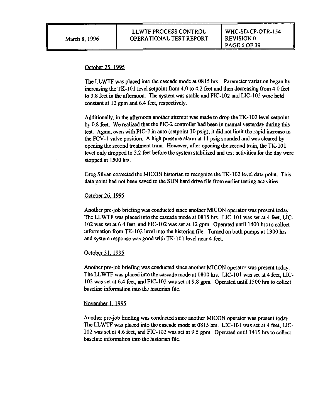#### October 25. 1995

The LLWTF was placed into the cascade mode at 0815 hrs. Parameter variation began by increasing the TK-101 level setpoint from 4.0 to 4.2 feet and then decreasing from 4.0 feet to 3.8 feet in the afternoon. The system was stable and FIC-102 and LIC-102 were held constant at 12 gpm and 6.4 feet, respectively.

Additionally, in the afternoon another attempt was made to drop the TK-102 level setpoint by 0.8 feet. We realized that the PIC-2 controller had been in manual yesterday during this test. Again, even with PIC-2 in auto (setpoint 10 psig), it did not limit the rapid increase in the FCV-1 valve position. A high pressure alarm at 11 psig sounded and was cleared by opening the second treatment train. However, after opening the second train, the TK-101 level only dropped to 3.2 feet before the system stabilized and test activities for the day were stopped at 1500 hrs.

Greg Silvan corrected the MICON historian to recognize the TK-102 level data point. This data point had not been saved to the SUN hard drive file from earlier testing activities.

#### October 26.1995

Another pre-job briefing was conducted since another MICON operator was present today. The LLWTF was placed into the cascade mode at 0815 hrs. LIC-101 was set at 4 feet, LIC-102 was set at 6.4 feet, and FIC-102 was set at 12 gpm. Operated until 1400 hrs to collect information from TK-102 level into the historian file. Turned on both pumps at 1300 hrs and system response was good with TK-101 level near 4 feet.

#### October 31. 1995

Another pre-job briefing was conducted since another MICON operator was present today. The LLWTF was placed into the cascade mode at 0800 hrs. LIC-101 was set at 4 feet, LIC-102 was set at 6.4 feet, and FIC-102 was set at 9.8 gpm. Operated until 1500 hrs to collect baseline information into the historian file.

#### November 1. 1995

Another pre-job briefing was conducted since another MICON operator was present today. The LLWTF was placed into the cascade mode at 0815 hrs. LIC-101 was set at 4 feet, LIC-102 was set at 4.6 feet, and FIC-102 was set at 9.5 gpm. Operated until 1415 hrs to collect baseline information into the historian file.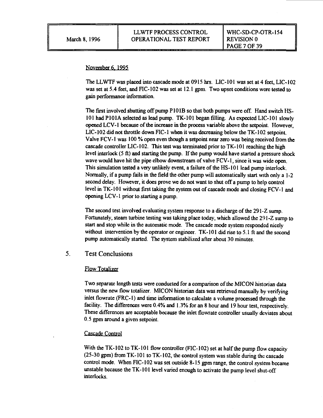#### November 6, 1995

The LLWTF was placed into cascade mode at 0915 hrs. LIC-101 was set at 4 feet, LIC-102 was set at 5.4 feet, and F1C-102 was set at 12.1 gpm. Two upset conditions were tested to gain performance information.

The first involved shutting off pump P101B so that both pumps were off. Hand switch HS-101 had P101A selected as lead pump. TK-101 began filling. As expected LIC-101 slowly opened LCV-1 because of the increase in the process variable above the setpoint. However, LIC-102 did not throttle down FIC-1 when it was decreasing below the TK-I02 setpoint. Valve FCV-1 was 100 % open even though a setpoint near zero was being received from the cascade controller LIC-102. This test was terminated prior to TK-101 reaching the high level interlock (5 ft) and starting the pump. If the pump would have started a pressure shock wave would have hit the pipe elbow downstream of valve FCV-1, since it was wide open. This simulation tested a very unlikely event, a failure of the HS-101 lead pump interlock. Normally, if a pump fails in the field the other pump will automatically start with only a 1-2 second delay. However, it does prove we do not want to shut off a pump to help control level in TK-101 without first taking the system out of cascade mode and closing FCV-1 and opening LCV-1 prior to starting a pump.

The second test involved evaluating system response to a discharge of the 291-Z sump. Fortunately, steam turbine testing was taking place today, which allowed the 291-Z sump to start and stop while in the automatic mode. The cascade mode system responded nicely without intervention by the operator or engineer. TK-101 did rise to 5.1 ft and the second pump automatically started. The system stabilized after about 30 minutes.

### 5. Test Conclusions

#### Flow Totalizer

Two separate length tests were conducted for a comparison of the MICON historian data versus the new flow totalizer. MICON historian data was retrieved manually by verifying inlet flowrate (FRC-1) and time information to calculate a volume processed through the facility. The differences were 0.4% and 1.3% for an 8 hour and 19 hour test, respectively. These differences are acceptable because the inlet flowrate controller usually deviates about 0.5 gpm around a given setpoint.

#### Cascade Control

With the TK-102 to TK-101 flow controller (FIC-102) set at half the pump flow capacity (25-30 gpm) from TK-101 to TK-102, the control system was stable during the cascade control mode. When FIC-102 was set outside 8-15 gpm range, the control system became unstable because the TK-101 level varied enough to activate the pump level shut-off interlocks.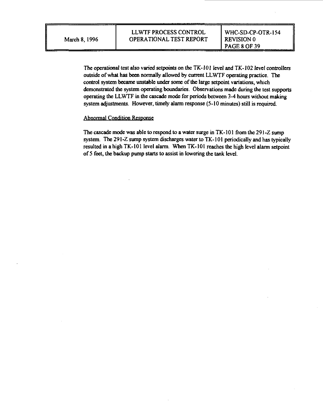**The operational test also varied setpoints on the TK-101 level and TK-102 level controllers outside of what has been normally allowed by current LLWTF operating practice. The control system became unstable under some of the large setpoint variations, which demonstrated the system operating boundaries. Observations made during the test supports operating the LLWTF in the cascade mode for periods between 3-4 hours without making system adjustments. However, timely alarm response (5-10 minutes) still is required.**

#### **Abnormal Condition Response**

**The cascade mode was able to respond to a water surge in TK-101 from the 291 -Z sump system. The 291-Z sump system discharges water to TK-101 periodically and has typically resulted in a high TK-101 level alarm. When TK-101 reaches the high level alarm setpoint of 5 feet, the backup pump starts to assist in lowering the tank level.**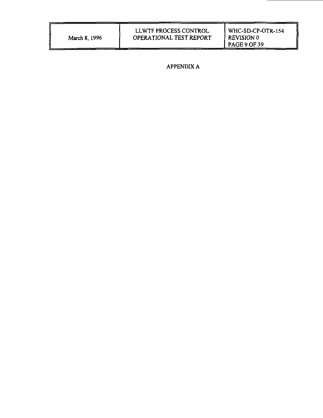| March 8, 1996 |  |  |
|---------------|--|--|
|               |  |  |

WHC-SD-CP-OTR-154 REVISION 0 PAGE 9 OF 39

APPENDIX A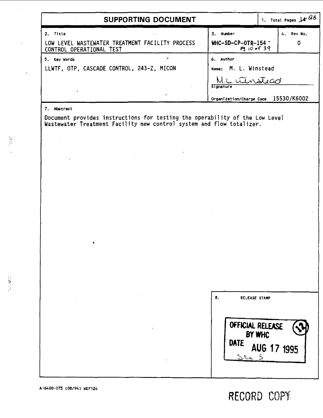| SUPPORTING DOCUMENT                                                                        |                     | 1. Total Pages $1466$                |            |
|--------------------------------------------------------------------------------------------|---------------------|--------------------------------------|------------|
| 2. Title                                                                                   | 3. Number           |                                      | 4. Rev No. |
| LOW LEVEL WASTEWATER TREATMENT FACILITY PROCESS<br>CONTROL OPERATIONAL TEST                | $WHC-SD-CP-OTR-154$ | P3 10 of 39                          | 0          |
| 5. Key Words                                                                               | 6. Author           |                                      |            |
| LLWTF, OTP, CASCADE CONTROL, 243-Z, MICON                                                  |                     | Name: M. L. Winstead                 |            |
|                                                                                            | Signature           | nsteach                              |            |
|                                                                                            |                     | Organization/Charge Code 15530/K6002 |            |
| 7. Abstract<br>Document provides instructions for testing the operability of the Low Level |                     |                                      |            |
| Wastewater Treatment Facility new control system and flow totalizer.                       |                     |                                      |            |
|                                                                                            |                     |                                      |            |
|                                                                                            |                     |                                      |            |
|                                                                                            |                     |                                      |            |
|                                                                                            |                     |                                      |            |
|                                                                                            |                     |                                      |            |
|                                                                                            |                     |                                      |            |
|                                                                                            |                     |                                      |            |
|                                                                                            |                     |                                      |            |
|                                                                                            |                     |                                      |            |
|                                                                                            |                     |                                      |            |
|                                                                                            |                     |                                      |            |
|                                                                                            | 8.                  | RELEASE STAMP                        |            |
|                                                                                            |                     |                                      |            |
|                                                                                            |                     | OFFICIAL RELEASE                     |            |
|                                                                                            | DATE                | BY WHC                               |            |
|                                                                                            |                     | AUG 17 1995<br>$2ca$ 5               |            |
|                                                                                            |                     |                                      |            |
|                                                                                            |                     |                                      |            |

 $\sim 10^{11}$  GeV  $M_{\rm BH}$ 

(10%)

 $\sim 10^{-1}$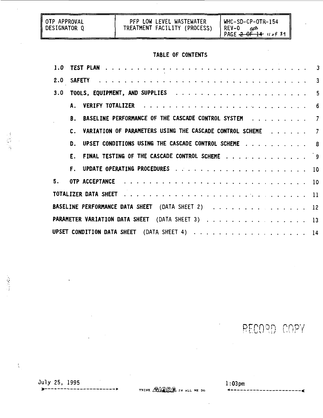| I OTP APPROVAL<br>DESIGNATOR O | PFP LOW LEVEL WASTEWATER<br>TREATMENT FACILITY (PROCESS) | WHC-SD-CP-OTR-154<br>REV-0<br>PAGE $2-0$ <del>F 14</del> $10 of 39$ |  |  |  |  |  |  |
|--------------------------------|----------------------------------------------------------|---------------------------------------------------------------------|--|--|--|--|--|--|
| TABLE OF CONTENTS              |                                                          |                                                                     |  |  |  |  |  |  |

| 3.0 |                |                                                            |  |  |  |  |  |  |
|-----|----------------|------------------------------------------------------------|--|--|--|--|--|--|
|     |                |                                                            |  |  |  |  |  |  |
|     |                | B. BASELINE PERFORMANCE OF THE CASCADE CONTROL SYSTEM 7    |  |  |  |  |  |  |
|     | $\mathbf{c}$ . | VARIATION OF PARAMETERS USING THE CASCADE CONTROL SCHEME 7 |  |  |  |  |  |  |
|     | n.             | UPSET CONDITIONS USING THE CASCADE CONTROL SCHEME 8        |  |  |  |  |  |  |
|     |                | E. FINAL TESTING OF THE CASCADE CONTROL SCHEME 9           |  |  |  |  |  |  |
|     |                |                                                            |  |  |  |  |  |  |
| 5.  |                |                                                            |  |  |  |  |  |  |
|     |                |                                                            |  |  |  |  |  |  |
|     |                | BASELINE PERFORMANCE DATA SHEET (DATA SHEET 2) 12          |  |  |  |  |  |  |
|     |                | PARAMETER VARIATION DATA SHEET (DATA SHEET 3) 13           |  |  |  |  |  |  |
|     |                |                                                            |  |  |  |  |  |  |

PECORD COPY

¢

**July 25, 1995 1:03pm**

548325

 $\label{eq:2} \frac{1}{2} \sum_{i=1}^n \frac{1}{2} \sum_{j=1}^n \frac{1}{2} \sum_{j=1}^n \frac{1}{2} \sum_{j=1}^n \frac{1}{2} \sum_{j=1}^n \frac{1}{2} \sum_{j=1}^n \frac{1}{2} \sum_{j=1}^n \frac{1}{2} \sum_{j=1}^n \frac{1}{2} \sum_{j=1}^n \frac{1}{2} \sum_{j=1}^n \frac{1}{2} \sum_{j=1}^n \frac{1}{2} \sum_{j=1}^n \frac{1}{2} \sum_{j=1}^n \frac{1}{$ 

 $\bar{\zeta}$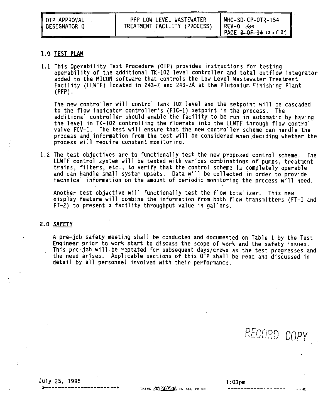| I OTP APPROVAL<br>DESIGNATOR Q | PFP LOW LEVEL WASTEWATER<br>TREATMENT FACILITY (PROCESS) | WHC-SD-CP-OTR-154<br>lRFV–0 G≾s<br>PAGE $3-0F-14$ 12 of 39 |
|--------------------------------|----------------------------------------------------------|------------------------------------------------------------|
|--------------------------------|----------------------------------------------------------|------------------------------------------------------------|

#### **1.0 TEST PLAN**

1.1 This Operability Test Procedure (OTP) provides instructions for testing operability of the additional TK-102 level controller and total outflow integrator added to the MICON software that controls the Low Level Wastewater Treatment Facility (LLWTF) located in 243-Z and 243-ZA at the Plutonium Finishing Plant (PFP).

The new controller will control Tank 102 level and the setpoint will be cascaded to the flow indicator controller's (FIC-1) setpoint in the process. The additional controller should enable the facility to be run in automatic by having the level in TK-102 controlling the flowrate into the LLWTF through flow control valve FCV-1. The test will ensure that the new controller scheme can handle the process and information from the test will be considered when deciding whether the process will require constant monitoring.

1.2 The test objectives are to functionally test the new proposed control scheme. The LLWTF control system will be tested with various combinations of pumps, treatment trains, filters, etc., to verify that the control scheme is completely operable and can handle small system upsets. Data will be collected in order to provide technical information on the amount of periodic monitoring the process will need.

Another test objective will functionally test the flow totalizer. This new display feature will combine the information from both flow transmitters (FT-1 and FT-2) to present a facility throughput value in gallons.

#### **2.0 SAFETY**

A pre-job safety meeting shall be conducted and documented on Table 1 by the Test Engineer prior to work start to discuss the scope of work and the safety issues. This pre-job will.be repeated for subsequent days/crews as the test progresses and the need arises. Applicable sections of this OTP shall be read and discussed in detail by all personnel involved with their performance.

RECORD COPY

Ouly 25, 1995 1:03pm

THINK **AVANTA** IN ALL WE DO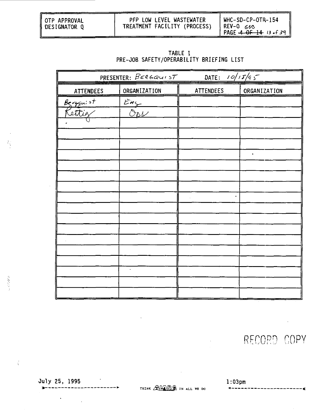| TREATMENT FACILITY (PROCESS)<br>1 REV-0 668<br>DESIGNATOR O<br>PAGE $-4$ $-0$ $-1$ $-4$ $-13$ $-1$ $-3$ $-1$ |
|--------------------------------------------------------------------------------------------------------------|
|--------------------------------------------------------------------------------------------------------------|

| TABLE 1                                  |  |
|------------------------------------------|--|
| PRE-JOB SAFETY/OPERABILITY BRIEFING LIST |  |

|                    | PRESENTER: BERGQUIST     | DATE: $10/15/95$ |              |
|--------------------|--------------------------|------------------|--------------|
| <b>ATTENDEES</b>   | ORGANIZATION             | ATTENDEES        | ORGANIZATION |
|                    | $E_{\frac{M_{\chi}}{2}}$ |                  |              |
| Benguist<br>Rettig | カルノ                      |                  |              |
|                    |                          |                  |              |
|                    |                          |                  |              |
|                    |                          |                  |              |
|                    |                          |                  | ۰            |
|                    |                          |                  |              |
|                    |                          |                  |              |
|                    |                          | ٠                |              |
|                    |                          |                  |              |
|                    |                          |                  |              |
|                    |                          |                  |              |
|                    |                          |                  |              |
|                    |                          |                  |              |
|                    |                          |                  |              |
|                    |                          |                  |              |
|                    |                          |                  |              |
|                    |                          |                  |              |

 $\vec{\psi}$ 

 $\tilde{\gamma}$ 

RECORD COPY

×

July 25, 1995

 $\bullet$ 

 $\ddot{\phantom{a}}$ 

 $\cdot$ 

--------

THINK **AVANCE** IN ALL WE DO

 $1:03$ pm  $\frac{1}{2}$ --------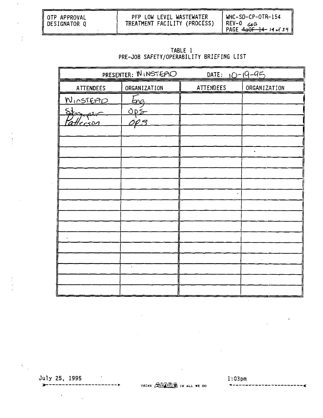| I OTP APPROVAL<br>I DESIGNATOR O | PFP LOW LEVEL WASTEWATER<br>TREATMENT FACILITY (PROCESS) | WHC-SD-CP-OTR-154<br>REV-0 ∠∡os<br>່ PAGE <del>4aOF 14 </del> ι4  σf 39 ∥ |
|----------------------------------|----------------------------------------------------------|---------------------------------------------------------------------------|
|----------------------------------|----------------------------------------------------------|---------------------------------------------------------------------------|

TABLE 1<br>PRE-JOB SAFETY/OPERABILITY BRIEFING LIST

| PRESENTER: WINSTEPIO |              | DATE: $10 - 19 - 95$ |              |
|----------------------|--------------|----------------------|--------------|
| ATTENDEES            | ORGANIZATION | ATTENDEES            | ORGANIZATION |
| <b>NINSTEAD</b>      | <u>lng.</u>  |                      |              |
| Stanger              |              |                      |              |
| <u>atlerson</u>      | OP S         |                      |              |
|                      |              |                      |              |
|                      |              |                      |              |
|                      |              |                      | ٠            |
|                      |              |                      |              |
|                      |              |                      |              |
|                      |              |                      |              |
|                      |              |                      |              |
|                      |              |                      |              |
|                      |              |                      |              |
|                      |              |                      |              |
|                      |              |                      |              |
|                      |              |                      |              |
|                      | $\epsilon$   |                      |              |
|                      |              |                      |              |
|                      |              |                      |              |

July 25, 1995 ------------

 $\sim$ 

 $\sim$ 

 $\ddot{\phantom{0}}$ 

----------

 $\tilde{\chi}$ 

 $\ddot{\phantom{a}}$ 

÷

THINK ANAVRA IN ALL WE DO

 $1:03$ pm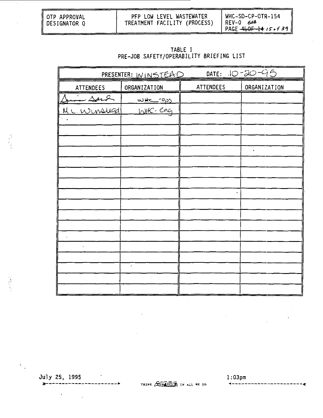| I OTP APPROVAL<br>I DESIGNATOR Q | PFP LOW LEVEL WASTEWATER<br>TREATMENT FACILITY (PROCESS) | WHC-SD-CP-OTR-154<br>.REV–0 668 |
|----------------------------------|----------------------------------------------------------|---------------------------------|
|----------------------------------|----------------------------------------------------------|---------------------------------|

| TABLE 1 |  |                                          |  |  |
|---------|--|------------------------------------------|--|--|
|         |  | PRE-JOB SAFETY/OPERABILITY BRIEFING LIST |  |  |

|             | PRESENTER: WINSTERD |           | DATE: 10-20-95      |
|-------------|---------------------|-----------|---------------------|
| ATTENDEES   | ORGANIZATION        | ATTENDEES | <b>ORGANIZATION</b> |
| in sont     | <u>whereps</u>      |           |                     |
| MC Winslead | WHC-eng             |           |                     |
|             |                     |           |                     |
|             |                     |           |                     |
|             |                     |           | ٠                   |
|             |                     |           |                     |
|             |                     |           |                     |
|             |                     |           |                     |
|             |                     |           |                     |
|             |                     |           |                     |
|             |                     |           |                     |
|             |                     |           |                     |
|             |                     |           |                     |
| ł           |                     |           |                     |
|             | $\bullet$           |           |                     |
|             |                     |           |                     |
|             |                     |           |                     |
|             |                     |           |                     |

July 25, 1995  $- - - - - - - - - -$ 

 $\ddot{\phantom{a}}$ 

 $\mathcal{L}$ 

----

at de

2010年

í,

THINK AVANCE IN ALL WE DO

 $1:03$ pm

... ........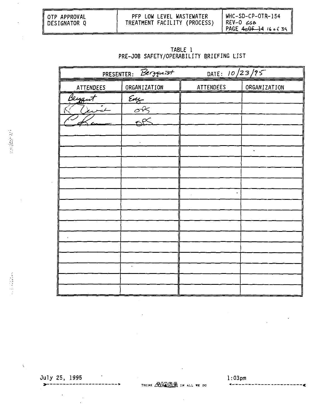| OTP APPROVAL   | PFP LOW LEVEL WASTEWATER     | WHC-SD-CP-OTR-154                                           |
|----------------|------------------------------|-------------------------------------------------------------|
| ‼ DESIGNATOR Q | TREATMENT FACILITY (PROCESS) | A REV-O ح                                                   |
|                |                              | PAGE $A \triangle A = 14$ $16 \triangle A$ $36$ $\parallel$ |

| TABLE 1 |  |                                          |  |  |
|---------|--|------------------------------------------|--|--|
|         |  | PRE-JOB SAFETY/OPERABILITY BRIEFING LIST |  |  |

| PRESENTER: Bergquist |                                 | DATE: 10/23/95 |              |
|----------------------|---------------------------------|----------------|--------------|
| ATTENDEES            | ORGANIZATION                    | ATTENDEES      | ORGANIZATION |
| Beygut               | $rac{2}{\sqrt{2}}$              |                |              |
| یدځ                  | $\frac{\partial R}{\partial s}$ |                |              |
|                      |                                 |                |              |
|                      |                                 |                |              |
|                      |                                 |                |              |
|                      |                                 |                | ٠            |
|                      |                                 |                |              |
|                      |                                 |                |              |
|                      |                                 |                |              |
|                      |                                 |                |              |
|                      |                                 |                |              |
|                      |                                 |                |              |
|                      |                                 |                |              |
|                      |                                 |                |              |
|                      |                                 |                |              |
|                      | $\bullet$                       |                |              |
|                      |                                 |                |              |
|                      |                                 |                |              |

 $\ddot{\phantom{0}}$ 

 $\bar{\chi}$ 

 $\ddot{\phantom{0}}$ 

 $\overline{a}$ 

- 1

 $\overline{\phantom{a}}$ 

THINK AVANS IN ALL WE DO

 $1:03$ pm

------

.

æ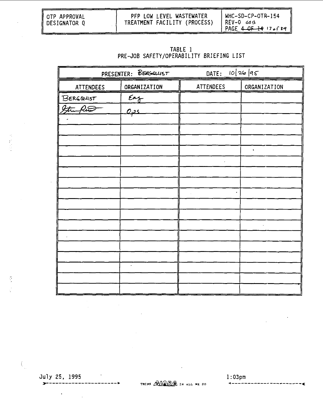| I OTP APPROVAL<br>DESIGNATOR 0 | PFP LOW LEVEL WASTEWATER<br>TREATMENT FACILITY (PROCESS) | WHC-SD-CP-OTR-154<br>IREV-0666<br>PAGE $4-9F-1417+39$ |
|--------------------------------|----------------------------------------------------------|-------------------------------------------------------|
|                                |                                                          |                                                       |

# TABLE 1<br>PRE-JOB SAFETY/OPERABILITY BRIEFING LIST

| PRESENTER: BERGOLUST |               | DATE:            | 10   26   95         |
|----------------------|---------------|------------------|----------------------|
| ATTENDEES            | ORGANIZATION  | <b>ATTENDEES</b> | ORGANIZATION         |
| BERGQUIST            | $\epsilon$ ng |                  |                      |
| Streepers            | عقب           |                  |                      |
|                      |               |                  |                      |
|                      |               |                  |                      |
|                      |               |                  | $\ddot{\phantom{0}}$ |
|                      |               | $\epsilon$       |                      |
|                      |               |                  |                      |
|                      |               |                  |                      |
|                      |               |                  |                      |
|                      |               |                  |                      |
|                      |               |                  |                      |
|                      |               |                  |                      |
|                      |               |                  |                      |
|                      |               |                  |                      |
|                      | $\epsilon$    |                  |                      |
|                      |               |                  |                      |
|                      |               |                  |                      |
|                      |               |                  |                      |

July 25, 1995 -----------

 $\bar{z}$ 

 $\ddot{\phantom{a}}$ 

-----

 $\tilde{\mathbb{S}}$ 

 $\mathcal{L}_1$ 

THINK AVANCE IN ALL WE DO

 $l:03$ pm  $- - - - -$ 

 $\ddot{\phantom{a}}$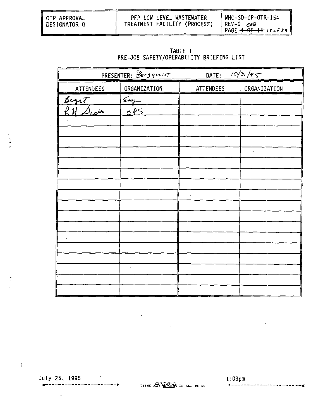| I OTP APPROVAL<br>DESIGNATOR Q | PFP LOW LEVEL WASTEWATER<br>TREATMENT FACILITY (PROCESS) | WHC-SD-CP-OTR-154<br>1 REV-0 668<br>PAGE $4.0$ F $14.18.639$ |
|--------------------------------|----------------------------------------------------------|--------------------------------------------------------------|
|                                |                                                          |                                                              |

| TABLE I |                                          |  |  |
|---------|------------------------------------------|--|--|
|         | PRE-JOB SAFETY/OPERABILITY BRIEFING LIST |  |  |

|                       | PRESENTER: Bergquist | DATE:     | 10/31/55     |
|-----------------------|----------------------|-----------|--------------|
| <b>ATTENDEES</b>      | ORGANIZATION         | ATTENDEES | ORGANIZATION |
| Begat                 | $\epsilon$ ug        |           |              |
| $RH$ $\triangle$ cotr | <u>کاؤه</u>          |           |              |
|                       |                      |           |              |
|                       |                      |           |              |
|                       |                      |           |              |
|                       |                      |           | ٠            |
|                       |                      |           |              |
|                       |                      |           |              |
|                       |                      |           |              |
|                       |                      |           |              |
|                       |                      |           |              |
|                       |                      |           |              |
|                       |                      |           |              |
|                       |                      |           |              |
|                       |                      |           |              |
|                       | $\cdot$              |           |              |
|                       |                      |           |              |
|                       |                      |           |              |

 $\sim$  $\frac{1}{2}$  ,  $\frac{1}{2}$ 

 $\langle$ 

 $\overline{a}$ 

 $\frac{1}{2} \frac{1}{2} \frac{d\mu}{d\mu} \frac{d\mu}{d\mu}$ 

July 25, 1995 1:03pm

 $\sim$ 

 $\mathcal{L}^{\text{max}}$ 

 $\lambda$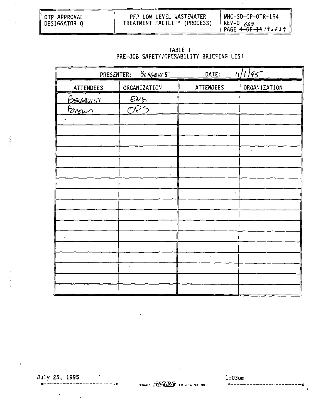| ∥OTP APPROVAL<br>∥DESIGNATOR Q | PFP LOW LEVEL WASTEWATER<br>TREATMENT FACILITY (PROCESS) | WHC-SD-CP-OTR-154<br>$ $ REV-0 $\sim$ 6<br>PAGE <del>4 OF 14</del> 19 <del>6</del> 4 3 9 1 |
|--------------------------------|----------------------------------------------------------|--------------------------------------------------------------------------------------------|
|--------------------------------|----------------------------------------------------------|--------------------------------------------------------------------------------------------|

| TABIE 1                                  |  |
|------------------------------------------|--|
| PRE-JOB SAFETY/OPERABILITY BRIEFING LIST |  |

| PRESENTER:       | <b>BERGOUIS</b> | DATE:     | 11/1/95              |
|------------------|-----------------|-----------|----------------------|
| ATTENDEES        | ORGANIZATION    | ATTENDEES | ORGANIZATION         |
| <u>Berbaurst</u> | <u>ENG</u>      |           |                      |
| Brown            | OPS             |           |                      |
|                  |                 |           |                      |
|                  |                 |           |                      |
|                  |                 |           |                      |
|                  |                 |           | $\ddot{\phantom{0}}$ |
|                  |                 |           |                      |
|                  |                 |           |                      |
|                  |                 | $\bullet$ |                      |
|                  |                 |           |                      |
|                  |                 |           |                      |
|                  |                 |           |                      |
|                  |                 |           |                      |
|                  |                 |           |                      |
|                  |                 |           |                      |
|                  | $\cdot$         |           |                      |
|                  |                 |           |                      |
|                  |                 |           |                      |

July 25, 1995 **\_\_\_\_\_\_\_\_\_\_** 

 $\cdot$ 

 $\overline{a}$ 

-------

ران<br>والأمام الأمام الأ

THINK AVANTA IN ALL WE DO

 $1:03$ pm ---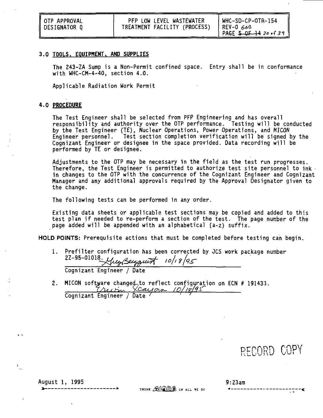| ∥ OTP APPROVAL | PFP LOW LEVEL WASTEWATER     | WHC-SD-CP-OTR-154              |
|----------------|------------------------------|--------------------------------|
| N DESIGNATOR Q | TREATMENT FACILITY (PROCESS) | 1 REV-0 666                    |
|                |                              | ' PAGE 5 OF 14 20 $\cdot$ f 39 |

#### **3.0 TOOLS. EQUIPMENT. AND SUPPLIES**

**The 243-ZA Sump is a Non-Permit confined space. Entry shall be in conformance with WHC-CM-4-40, section 4.0.**

**Applicable Radiation Work Permit**

#### **4.0 PROCEDURE**

**The Test Engineer shall be selected from PFP Engineering and has overall responsibility and authority over the OTP performance. Testing will be conducted by the Test Engineer (TE), Nuclear Operations, Power Operations, and MICON Engineer personnel. Test section completion verification will be signed by the Cognizant Engineer or designee in the space provided. Data recording will be performed by TE or designee.**

**Adjustments to the OTP may be necessary in the field as the test run progresses. Therefore, the Test Engineer is permitted to authorize test site personnel to ink in changes to the OTP with the concurrence of the Cognizant Engineer and Cognizant Manager and any additional approvals required by the Approval Designator given to the change.**

**The following tests can be performed in any order.**

**Existing data sheets or applicable test sections may be copied and added to this test plan if needed to re-perform a section of the test. The page number of the page added will be appended with an alphabetical (a-z) suffix.**

HOLD POINTS: Prerequisite actions that must be completed before testing can begin.

**1. Prefilter configuration has been corrected by JCS work package number** 2Z-95-01018. Yug Berggunt 10/18/95

**Cognizant Engineer / Date**

------------

2. MICON software changed to reflect configuration on ECN # 191433.<br>
<u>Cause (Oligin Cause Collection</u> **Cognizant Engineer / Date '**

RECORD COPY

**August 1, 1995 9:23am**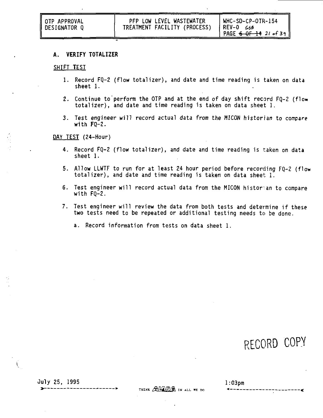| I OTP APPROVAL<br>DESIGNATOR Q | PFP LOW LEVEL WASTEWATER<br>TREATMENT FACILITY (PROCESS) | WHC-SD-CP-OTR-154<br>1 REV-0 668<br>PAGE $6 - 0 + 14$ 21 of 39 |
|--------------------------------|----------------------------------------------------------|----------------------------------------------------------------|
|--------------------------------|----------------------------------------------------------|----------------------------------------------------------------|

#### **A. VERIFY TOTALIZER**

#### SHIFT TEST

- 1. Record FQ-2 (flow totalizer), and date and time reading is taken on data sheet 1.
- 2. Continue to perform the OTP and at the end of day shift record FQ-2 (flow totalizer), and date and time reading is taken on data sheet 1.
- 3. Test engineer will record actual data from the HICON historian to compare with FQ-2.

#### DAY TEST (24-Hour)

- 4. Record FQ-2 (flow totalizer), and date and time reading is taken on data sheet 1.
- 5. Allow LLWTF to run for at least 24 hour period before recording FQ-2 (flow totalizer), and date and time reading is taken on data sheet  $1$ .
- 6. Test engineer will record actual data from the MICON historian to compare with FQ-2.
- 7. Test engineer will review the data from both tests and determine if these two tests need to be repeated or additional testing needs to be done.
	- a. Record information from tests on data sheet 1.

RECORD COPY

Ouly 25, 1995 1:03pm

THINK AVAIRA IN ALL WE DO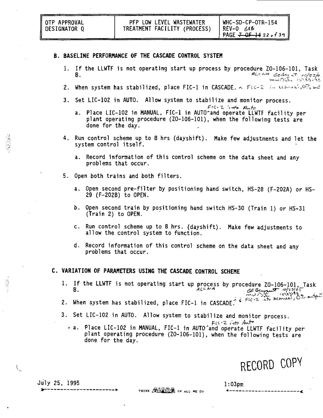#### **B. BASELINE PERFORMANCE OF THE CASCADE CONTROL SYSTEM**

- 1. If the LLWTF is not operating start up process by procedure ZO-106-101, Task<br>B.
- لات المسلمان.<br>B. When system has stabilized, place FIC-1 in CASCADE. A Fic-2 in wender, 07 <del>in</del>
- 3. Set LIC-102 in AUTO. Allow system to stabilize and monitor process.

- a. Place LIC-102 in MANUAL, FIC-1 in AUTO^and operate LLWTF facility plant operating procedure ( $20-106-101$ ), when the following tests are done for the day.
- 4. Run control scheme up to 8 hrs (dayshift). Make few adjustments and let the system control itself.
	- a. Record information of this control scheme on the data sheet and any problems that occur.
- 5. Open both trains and both filters.
	- a. Open second pre-filter by positioning hand switch, HS-28 (F-202A) or HS-29 (F-202B) to OPEN.
	- b. Open second train by positioning hand switch HS-30 (Train 1) or HS-31 (Train 2) to OPEN.
	- c. Run control scheme up to 8 hrs. (dayshift). Make few adjustments to allow the control system to function.
	- d. Record information of this control scheme on the data sheet and any problems that occur.

#### **C. VARIATION OF PARAMETERS USING THE CASCADE CONTROL SCHEME**

- 1. If the LLWTF is not operating start up process by procedure ZO-106-101, Task
- 2. When system has stabilized, place FIC-1 in CASCADE.  $^{\circ}$  fices with mean
- 3. Set LIC-102 in AUTO. Allow system to stabilize and monitor process.

 $F$  10-2  $int$  Auto

• a. Place LIC-102 in MANUAL, FIC-1 in AUTO'and operate LLWTF facility per plant operating procedure (ZO-106-101), when the following tests are done for the day.

RECORD COPY

----------------

-----------**-**

 $\overline{\mathcal{L}}$ 

July 25, 1995 1:03pm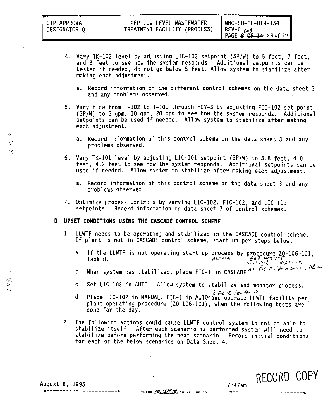| II OTP APPROVAL<br>DESIGNATOR 0 | PFP LOW LEVEL WASTEWATER<br>TREATMENT FACILITY (PROCESS) | WHC-SD-CP-OTR-154<br>$ $ REV-0 $68$<br>$PAGE = QF - 1423 - 139$ |
|---------------------------------|----------------------------------------------------------|-----------------------------------------------------------------|
|---------------------------------|----------------------------------------------------------|-----------------------------------------------------------------|

- 4. Vary TK-102 level by adjusting LIC-1O2 setpoint (SP/W) to 5 feet, 7 feet, and 9 feet to see how the system responds. Additional setpoints can be tested if needed, do not go below 5 feet. Allow system to stabilize after making each adjustment.
	- a. Record information of the different control schemes on the data sheet 3 and any problems observed.
- 5. Vary flow from T-102 to T-101 through FCV-3 by adjusting FIC-102 set point (SP/W) to 5 gpm, 10 gpm, 20 gpm to see how the system responds. Additional setpoints can be used if needed. Allow system to stabilize after making each adjustment.
	- a. Record information of this control scheme on the data sheet 3 and any problems observed.
- 6. Vary TK-101 level by adjusting LIC-101 setpoint (SP/W) to 3.8 feet, 4.0 feet, 4.2 feet to see how the system responds. Additional setpoints can be used if needed. Allow system to stabilize after making each adjustment.
	- a. Record information of this control scheme on the data sheet 3 and any problems observed.
- 7. Optimize process controls by varying LIC-102, FIC-102, and LIC-101 setpoints. Record information on data sheet 3 of control schemes.

#### **D. UPSET CONDITIONS USING THE CASCADE CONTROL SCHEME**

- 1. LLWTF needs to be operating and stabilized in the CASCADE control scheme. If plant is not in CASCADE control scheme, start up per steps below.
	- a. If the LLWTF is not operating start up process by procedure  $Z0-106-101$ ,<br>Task B.
	- b. When system has stabilized, place FIC-1 in CASCADE. Af FIC-2 in Manuel, or
	- c. Set LIC-102 in AUTO. Allow system to stabilize and monitor process.
	- d. Place LIC-102 in MANUAL, FIC-1 in AUTO-and operate LLWTF facility per plant operating procedure (ZO-106-101), when the following tests are done for the day.
- 2. The following actions could cause LLWTF control system to not be able to stabilize itself. After each scenario is performed system will need to stabilize before performing the next scenario. Record initial conditions for each of the below scenarios on Data Sheet 4.

**RECORD COPY**

. . . . . . . *.* 

**August 8, 1995 7:47am**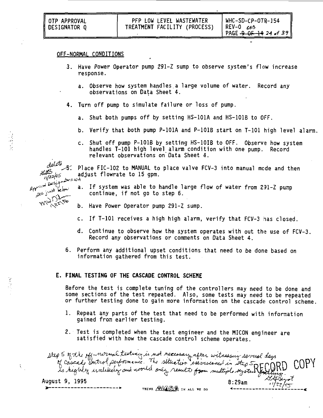#### OFF-NORMAL CONDITIONS

- 3. Have Power Operator pump 291-Z sump to observe system's flow increase response.
	- a. Observe how system handles a large volume of water. Record any observations on Data Sheet 4.
- 4. Turn off pump to simulate failure or loss of pump.
	- a. Shut both pumps off by setting HS-101A and HS-1O1B to OFF.
	- b. Verify that both pump P-101A and P-1O1B start on T-101 high level alarm.
	- c. Shut off pump P-1O1B by setting HS-1O1B to OFF. Observe how system handles T-101 high level alarm condition with one pump. Record relevant observations on Data Sheet 4.

Place FIC-102 to MANUAL to place valve FCV-3 into manual mode and then adjust flowrate to 15 gpm.

- a. If system was able to handle large flow of water from 291-Z pump errestal west left system was able to handle lingual to step 6.<br>continue, if not go to step 6.
	- b. Have Power Operator pump 291-Z sump.
	- c. If T-101 receives a high high alarm, verify that FCV-3 has closed.
	- d. Continue to observe how the system operates with out the use of FCV-3. Record any observations or comments on Data Sheet 4.
	- 6. Perform any additional upset conditions that need to be done based on information gathered from this test.

#### **E. FINAL TESTING OF THE CASCADE CONTROL SCHEME**

Before the test is complete tuning of the controllers may need to be done and some sections of the test repeated. Also, some tests may need to be repeated or further testing done to gain more information on the cascade control scheme.

- 1. Repeat any parts of the test that need to be performed with information gained from earlier testing.
- 2. Test is completed when the test engineer and the MICON engineer are satisfied with how the cascade control scheme operates.

step 5 of the eff-normal testines is not necessary after witnessing servial days of cascado control performance. The situation exercisement in the 5 RECO<br>of cascado control performance. The situation exercisement in the 5 RECO **COPY** August 9, 1995 8:29am

 $2r = N$ A  $W^{1,22}_{\lambda^2}$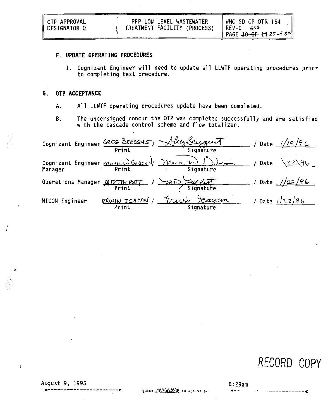#### **F. UPDATE OPERATING PROCEDURES**

1. Cognizant Engineer will need to update all LLWTF operating procedures prior to completing test procedure.

#### **5. OTP ACCEPTANCE**

- A. All LLWTF operating procedures update have been completed.
- B. The undersigned concur the OTP was completed successfully and are satisfied with the cascade control scheme and flow totalizer.

|                                                        | Print                 | Cognizant Engineer GREG BERGQUIST, July Seizquit<br>Signature | Date $1/10/9$  |  |
|--------------------------------------------------------|-----------------------|---------------------------------------------------------------|----------------|--|
| Cognizant Engineer Marke W Guzzon/ Mark W 5<br>Manager | Print                 | Signature                                                     | Date $12296$   |  |
| Operations Manager <i>MDTHLCOT</i>                     |                       | mi Signature                                                  | Date $1/22/96$ |  |
| MICON Engineer                                         | ERWIN ICAYAN<br>Print | Jeayam<br>Erurn<br>Signature                                  | Date $12z/96$  |  |

RECORD COPY

S.

÷.

August 9, 1995 8:29am

THINK AVANS IN ALL WE DO

----------------------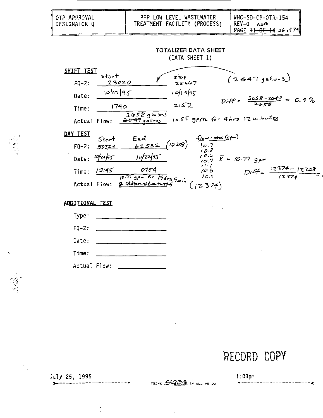| OTP APPROVAL<br><b>DESIGNATOR Q</b>         |                          | TREATMENT FACILITY (PROCESS)                                                                                                                     | PFP LOW LEVEL WASTEWATER               |                                 | WHC-SD-CP-OTR-154<br>$REV-0$ 66 | PAGE $\frac{11}{11}$ OF 14 26.439         |  |
|---------------------------------------------|--------------------------|--------------------------------------------------------------------------------------------------------------------------------------------------|----------------------------------------|---------------------------------|---------------------------------|-------------------------------------------|--|
|                                             |                          |                                                                                                                                                  | TOTALIZER DATA SHEET<br>(DATA SHEET 1) |                                 |                                 |                                           |  |
| <u>SHIFT TEST</u><br>$FQ-2: 23020$<br>Date: | stat<br> 0 17 45<br>1740 |                                                                                                                                                  | stop<br>25667<br>10/195<br>2152        |                                 | (2647, 9e10.3)                  | $Diff = \frac{2658 - 2647}{2658} = 0.4\%$ |  |
| Time:<br>DAY TEST                           |                          | $2058$ gallons<br>Actual Flow: 2447 gailers                                                                                                      |                                        |                                 | 10.55 gpm for 4hrs 12 minutes   |                                           |  |
|                                             |                          | Stert End $f_{\text{low}.\text{e}tss}$ ( $\frac{f_{\text{low}.\text{e}tss}}{f}$ ( $\frac{7}{2}$ ) ( $\frac{7}{2}$ )<br>Date: $10f21f5$ $10f27f5$ |                                        | 10.8                            | $10.6$ $\bar{K} = 10.77$ gpm    |                                           |  |
| Time: $/2.45$                               |                          | 0754<br>$10.77$ gpx $\frac{R}{10.41}$ gpx $\frac{R}{10.41}$ general lating function                                                              |                                        | 11.1<br>10.6<br>10.5<br>(12374) |                                 | $Diff = \frac{12374 - 12208}{12374}$      |  |

### ADDITIONAL TEST

| Type:        |  |
|--------------|--|
| $F0 - 2:$    |  |
| Date:        |  |
| Time:        |  |
| Actual Flow: |  |

----------**-**

# RECORD COPY

.........**.** 

July 25, 1995

 $\ddot{i}$ 

THINK AVANAGA IN ALL WE DO

 $1:03$ pm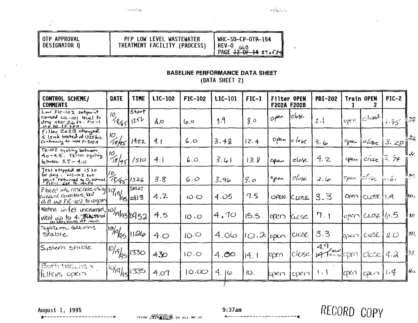$\bullet$ 

OTP APPROVAL **DESIGNATOR Q** 

# PFP LOW LEVEL WASTEWATER<br>TREATMENT FACILITY (PROCESS)

# WHC-SD-CP-0TR-154 REV-0<br>
PAGE  $\frac{12}{12}$  of 14 27 = f39

### **BASELINE PERFORMANCE DATA SHEET**

(DATA SHEET 2)

| CONTROL SCHEME/<br><b>COMMENTS</b>                                                                | DATE                       | TIME              | LIC-102 | FIC-102         | LIC-101 | $FIC-1$              | Filter OPEN<br><b>F202A F202B</b> |        | <b>PDI-202</b>    |              | Train OPEN                 | <b>PIC-2</b> |       |
|---------------------------------------------------------------------------------------------------|----------------------------|-------------------|---------|-----------------|---------|----------------------|-----------------------------------|--------|-------------------|--------------|----------------------------|--------------|-------|
| Low FIC-102 setpoint<br>coused LIC-101 level to<br>drop near 3.6 ft Fic-1.<br>$10.15.9$ $\rho$ m. | 10<br>48/951               | start<br>1252     | 4.о     | ں جا            | 3.9     | 8.0                  | open                              | cbc    | 2.1               | Open         | $ c $ osel                 | 1.35         | يبرا  |
| Filter 2023 changed<br>& leak tested at 1325hrs.<br>Continuing to use $F-202A$                    | 10.<br>18/85               | 14zz              | 4.1     | 6.0             | 3.48    | 12.4                 | $0$ <i>p</i> 2n                   | c      | 3.6               | $o_{\theta}$ | $d\sigma$                  | 3.20         | ‼‰    |
| TK-102 cycling between<br>$Ap-A.S.$ Tk-101 cycling<br>between 3.5 - 4.0                           | 10<br>18/951               | /510              | 4.1     | 6.0             | 3.61    | 13. 8                | Open                              | elosc  | 4. Z              | gren         | $\frac{c}{\log c}$         | 3.74         | بها   |
| Test stopped of 1530<br>for day. $L_{\text{C-102 set}}$<br>point neturied to 0, monual.           | $1/2$<br>$4/2$ $45/1526$   |                   | 3.8     | 6.0             | 3.96    | 9.0                  | open                              | closc  | 2.6               | open         | $c\ell$ os $_{\mathbb{C}}$ | 1.51         | بروا  |
| Placed into case ade using 19/19/<br>Cuerent conditions, Wit<br>clic up FIC 100 to 10 gpm         |                            | Stari<br>195/0813 | 4.2     | 10 <sub>o</sub> | 4.05    | 7.5                  | <b>UPEN</b>                       | CLOSE  | 3.3               |              | Open   CLOSE   1.4         |              | Дм.   |
| $\frac{201}{4}$ water in Let uncreased, $ 0\rangle$ 19/50/952<br>Went up to 4. Toching            |                            |                   | 4.5     | 10.0            | 4,70    | 15.5                 | apen                              | Cucse  | 7.1               |              | open[CLSE][0.5]            |              | ll ur |
| System seems<br>stable                                                                            | $10^{6}$                   | 1124              | 40      | 10.0            | 06.4    | $10.2$ open $\alpha$ |                                   |        | 3.3               | lopen l      | CIOSE                      | 2.0          | M     |
| System stable                                                                                     | $110\sqrt{19}$ $951$       | 1330              | 4.50    | 10.0            | 4.00    | 14.1                 | lopen                             | lclose | 49.<br>$470 - 60$ |              | $c$ $c$ se                 | 4.2          | ∥Nt   |
| $\overline{B}$ of $\overline{B}$ tracting $+$<br>FLITERS OPEN                                     | $ {}^{10}$ $ q_{45} $ 1335 |                   | 4.07    | 10.00           | 4. IG   | IO.                  | ppen                              | gxn    | $\mathbf{1}$      | laxin        | $C\mathsf{R}$              | [1.4]        | ∝∕ا ∥ |

August 1, 1995

--------

 $\bullet - - - - - - - -$ 

THINK **NAME IN ALL WE DO** 

 $9:37am$  $\blacksquare$ 

---------<mark>-</mark>

RECORD COPY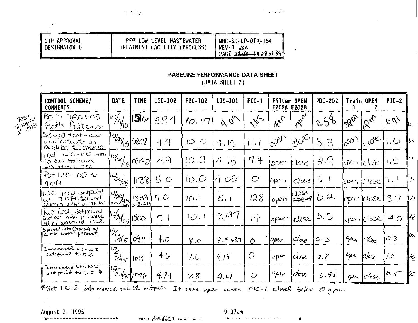$\ddot{\phantom{a}}$ 

| II OTP APPROVAL | PFP LOW LEVEL WASTEWATER     | WHC-SD-CP-OTR-154     |
|-----------------|------------------------------|-----------------------|
| 'I DESIGNATOR O | TREATMENT FACILITY (PROCESS) | REV-0 GGB             |
|                 |                              | PAGE 12a0F-1428 of 39 |

# **BASELINE PERFORMANCE DATA SHEET**

(DATA SHEET 2)

|                    | CONTROL SCHEME/<br><b>COMMENTS</b>                                                           | DATE                           | <b>TIME</b> | LIC-102 | F1C-102 | LIC-101     | $FIC-1$       | Filter OPEN<br>F202A F202B |                   | <b>PDI-202</b> | Train OPEN                    |                   | $PIC-2$         |       |
|--------------------|----------------------------------------------------------------------------------------------|--------------------------------|-------------|---------|---------|-------------|---------------|----------------------------|-------------------|----------------|-------------------------------|-------------------|-----------------|-------|
| Test d<br>stuppere | Both Trains<br>Bath Futeus.                                                                  | $\frac{1}{\sqrt{2}}$           | $ 3\rangle$ | 394     | 10.17   | A.001       | $v_{\beta}$ . | Eler                       | Rut               | 0.56           | 1266                          | $12e^{x}$         | $\sigma_{\nu'}$ | ‼u⊾   |
|                    | Saited test-pio<br>into cascade in<br>existing set points                                    | 10/2/15/0808                   |             | 4,9     | 10.0    | 4,15        | 11.1          | $ICR^{2D}$                 | $10^{100}$        | 5.3            | $10^{88}$                     | $ICU^{\circledK}$ | صا. ا           | llut  |
|                    | tut LIC-102 into<br>to 50 toRun<br><u>variation</u> test                                     | 19/30/<br>k5.                  | 0842        | 4.9     | 10.2    | 4.15        | 7.4           | lopen                      | klase.            | 2.9            | aixin                         | close             | 1.5             | الدا  |
|                    | Put LIC-102 to<br>7O                                                                         | $\frac{10}{2}$                 | 1138        | 50      | 10.0    | 14.05       | O             | l6pei7                     | Close             | 3.1            |                               | cpon clase        | $\mathcal{N}$ . | $\mu$ |
|                    | wic-102 setpoint<br>$N_{c}$ 100 setpoint $\frac{1}{2}$<br>at 7.0ft second $\frac{1}{2}$ 1339 |                                |             | 7.0     | 10.1    | 5.1         | 128           | osen                       | WOSL<br>$ $ oper9 | 16.2           |                               | ben Iclose        | 3.7             | ایم ا |
|                    | NC-102 setizent<br>aid get nich pleasure                                                     | 10/sd<br>7451                  | 1500        | $\P.$   | 10.1    | 3.97        | 14            | 10P401                     | lelase            | 5.5            |                               | lopen/close       | 4.0             | 14    |
|                    | Started into Cascade w/<br>Little water present.                                             | $\sqrt{10}$<br>$\frac{23}{45}$ | 0911        | f.o     | 8.0     | $3.4 + 3.7$ | Ŏ             | open                       | ∣close            | 0.3            | open                          | ≤lœ               | 0.3             | ∥ćς   |
|                    | Increased LIC-102<br>set point to $5.0$                                                      | $\frac{10}{23}$                | 015         | 46      | 7.6     | 419         | O             | $\partial P$               | Klose             | 2.8            | open                          | $c/b$ $\times$    | 10              | ⊫6    |
|                    | Increased LIC-102<br>set point to 6.0 $\ast$                                                 | 1248/1046                      |             | 4.94    | 7.8     | 4.01        | O             | open                       | cloce             | 0.98           | $\mathcal{O}_\mathcal{O}$ eq. | $c$ lesc          | $0.5^{-}$       | ľю    |

Uset FC-2 into manual and Oli ontput. It come open when FIC-1 closed below O gpm.

August 1, 1995

----------

 $\mathbf{y}$ 

¥.

THERE AND THE THE SECOND TELL

 $9:37$ am

 $\sim$   $\sim$ 

 $\pmb{\epsilon}$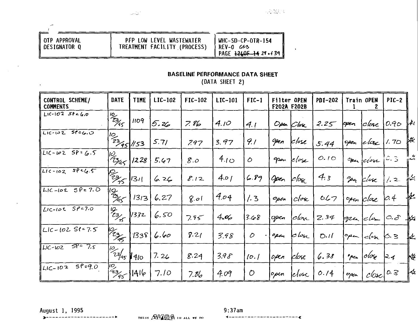| OTP APPROVAL | PFP LOW LEVEL WASTEWATER     | WHC-SD-CP-OTR-154                                 |
|--------------|------------------------------|---------------------------------------------------|
| DESIGNATOR Q | TREATMENT FACILITY (PROCESS) | 1 REV-0 663<br>' PAGE <del>1260F 14</del> 27 + 39 |

 $\sqrt{2}$ 

## **BASELINE PERFORMANCE DATA SHEET**

22.32.3

 $\mathbf{r}$ 

(DATA SHEET 2)

| CONTROL SCHEME/<br><b>COMMENTS</b>   | DATE                    | TIME       | LIC-102 | FIC-102 | LIC-101 | $FIC-1$ | Filter OPEN<br><b>F202A F202B</b> |            | <b>PD1-202</b> |      | Train OPEN | $PIC-2$         |              |
|--------------------------------------|-------------------------|------------|---------|---------|---------|---------|-----------------------------------|------------|----------------|------|------------|-----------------|--------------|
| $LIC-102$ $SP4,0$                    | $rac{10}{2}$            | 1109       | 5. U p  | 7. 86   | 4.10    | 41      |                                   | Open Close | 2.25           | pen  | close      | 0.90            | $\mu$        |
| $L1C - 102$ $S6 = 6.0$               | $\frac{10}{23}$ 45 //53 |            | 5.71    | 797     | 3.97    | 9.1     | 0pen                              | $c$ lose   | 5.44           | open | $ e $ ac   | 1. 70           | ₩            |
| $LLIC-W2$ $SP = 6.5$                 | 13/45                   | 1228       | 5.67    | 8.0     | 410     | Ο       | gran                              | close      | 0.10           |      | Sea close  | $c_{.5}$        | ره ال<br>شدن |
| $LLC-102$ $SPC(6.5)$                 |                         | 1311       | 6. 26   | 8.12    | 4.01    | 6.89    | Open                              | $c/\alpha$ | 4.3            | Ver  | klose      | 1, 2            | 屘            |
| LIC-102 $SP = 7.0$                   | 10g<br>Mas              | 1313       | 6.27    | 801     | 4.04    | 1.3     | open                              | $c$ lox    | 0.67           |      | open close | $\varphi$ .4    | 怅            |
| LIC-10C $SP = 7.0$                   | $v_{z_{3/5}}$           | 1332       | 6.50    | 7.95    | 4.ap    | 3.68    | open                              | $ c $ on   | 2.34           | gra  | c          | 0.8             | ₩            |
| $LLC-IOZ$ $Sf-7.5$                   | 19/23/25                | 1338       | 6.60    | 8.21    | 3.98    | 0       | open                              | بادان      | $D_{1}/$       | 0pm  | clox       | 6.3             | ⊯            |
| $5P = 7.5$<br>$\mu$ <sub>C-102</sub> | $\frac{1}{23/45}$       | $\mu_{40}$ | 7.26    | 8.24    | 3.98    | 10.1    | $\mathcal{O}\mathcal{P}$ cn       | close      | 6.38           | 'pen | olose      | $\mathsf{R}$ .4 | ₩            |
| $5P = 9.0$<br>$L C - 102$            | $\frac{1}{2}$ 95        | 1416       | 7.10    | 7.86    | 4.09    | 0       | open                              | lelose     | 0.14           | open | close      | 0.3             | ⊬            |

August 1, 1995 -------------

---------

× ÷.

 $\epsilon$ 

 $\cdot$ 

THINK AVANA IN ALL WE DO

 $9:37am$ 

1------------------------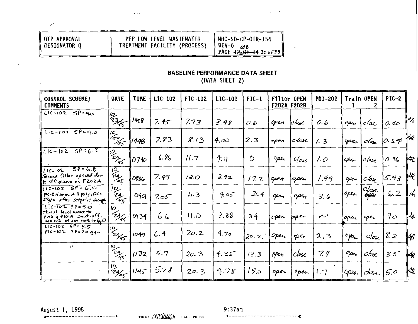z

# PFP LOW LEVEL WASTEWATER<br>TREATMENT FACILITY (PROCESS)

and the state

WHC-SD-CP-OTR-154<br>REV-0 668<br>PAGE <del>1200F 14</del> 30 0f39

 $\mathbf{v}$  .

 $\cdot$ 

### **BASELINE PERFORMANCE DATA SHEET** (DATA SHEET 2)

| CONTROL SCHEME/<br><b>COMMENTS</b>                                                                    | DATE                              | TIME | LIC-102 | FIC-102 | LIC-101 | $FIC-1$ | Filter OPEN<br><b>F202A F202B</b> |                | <b>PDI-202</b> | Train OPEN |                          | <b>PIC-2</b> |     |
|-------------------------------------------------------------------------------------------------------|-----------------------------------|------|---------|---------|---------|---------|-----------------------------------|----------------|----------------|------------|--------------------------|--------------|-----|
| $5P - 90$<br>LIC-102                                                                                  | $\frac{1}{2365}$                  | 1428 | 7.45    | 7.73    | 3.98    | 0.6     | open                              | <u> clase</u>  | 0.6            | open       | c/ar                     | 0.40         | ₩   |
| $Lic-102$ $SPE9.0$                                                                                    | 10.<br>$\frac{1}{256}$            | 144B | 7.83    | 813     | 4.00.   | 2,3     | open                              | close          | 1.3            | ope,       | cha                      | 0.54         | ⊮   |
| 5856.8<br>$LIC - 102$                                                                                 | $\frac{10}{2}$<br>$\frac{24}{95}$ | 0740 | 6.86    | 11.7    | 4. II   | O       | Dpen                              | $c_{\ell}$ ose | 1. O           | Фen        | $c/\epsilon$             | 0.36         | i₩  |
| $50 - 6.8$<br>10-102<br>Second filter opened due<br>to dPalarm on F2024                               | $\frac{10}{24}$                   | 0836 | 7.49    | 12.0    | 3.92    | 17.2    | open                              | 10aen          | 1.99           | open       | $c\mathbf{b}$ s $c$      | 5.93         | ⊮   |
| $L1C-102595C0$<br>Pic-2 alanm at 11 psig, FIC =<br>27qpm after setprint change                        | $rac{10}{24}$                     | Ogol | سى7.05  | 11.3    | سى 4.   | 20.4    | open                              | open           | 3.6            | open       | clase<br><del>epr</del>  | 6.2          | ∥∡{ |
| LIC-102 $SP = 5.0$<br>  TK-101 level went to<br>2.46 & PIOIB shut-off.<br>Lic-102 st set bock to $60$ | IО<br>$2y_{45}$                   | 0934 | عا . ھا | 11.D    | 3,88    | 34      | open                              | pper           | ىم             | open       | 'open                    | 900          | ₩   |
| $LIC-IO2 5P = 5.5$<br>$F1C-102$ SP=20 gpm                                                             | D.<br>29/95                       | 1049 | 6.4     | 20.2    | 4.70    | 20.2    | Open                              | open           | 2,3            | ope_       | $c _{\alpha_{\epsilon}}$ | 8.2          | ₩   |
| H,                                                                                                    | $\frac{10}{295}$                  | 1/32 | 5.7     | 20. 3   | 4.35    | 13.3    | open                              | Close          | 7.9            | Open.      | close                    | $3.5^{-}$    | ⊯   |
|                                                                                                       | $\frac{10}{2465}$                 | 1145 | 5.78    | 20.3    | 4.78    | 15.0    | open                              | open           | 1.7            | Open       | clx                      | 5.0          | Kz  |

August 1, 1995 -------------

THINK AVANA IN ALL WE DO

 $9:37am$ **1-----------------------**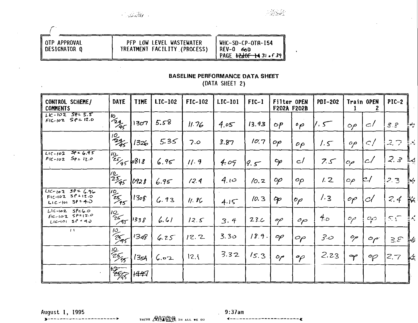**College** 

 $\sim 100$ 

 $\bullet$ 

| <b>I</b> OTP APPROVAL<br><b>I DESIGNATOR O</b> | PFP LOW LEVEL WASTEWATER<br>TREATMENT FACILITY (PROCESS) | WHC-SD-CP-OTR-154<br>REV-O<br>കാ<br>PAGE <del>12d0F 14</del> 31 of 39 h |
|------------------------------------------------|----------------------------------------------------------|-------------------------------------------------------------------------|

# **BASELINE PERFORMANCE DATA SHEET**

(DATA SHEET 2)

| CONTROL SCHEME/<br><b>COMMENTS</b>                                   | DATE                            | <b>TIME</b> | LIC-102 | FIC-102 | $LIC-IOI$   | $FIC-1$ | Filter OPEN<br>F202A F202B |                 | <b>PDI-202</b> |                          | Train OPEN                  | $PIC-2$                  |    |
|----------------------------------------------------------------------|---------------------------------|-------------|---------|---------|-------------|---------|----------------------------|-----------------|----------------|--------------------------|-----------------------------|--------------------------|----|
| $LC - 1025555$<br>$F1C-102$ $S P = 12.0$                             | $\frac{10}{24}$                 | 1307        | 5.58    | 11.76   | 4.05        | 13.93   | $\circ P$                  | $^{\circ}$ p    | سی             | $\circ \rho$             | $\epsilon$ /                | 3.8                      | ‼∻ |
|                                                                      | $\frac{110}{245}$               | 1326        | 5.35    | 7.0     | 3.87        | 10.7    | оp                         | $\rho \rho$     | $1.5^\circ$    | $\mathfrak{o}\rho$       | $\mathbb{C}/$               | 2,7                      | ŀ× |
| $59 - 6.95$<br>$L(C-102)$<br>$5p = 12.0$<br>$F(C-102)$               | $\int_{\frac{25}{45}}^{10} 818$ |             | 6.95    | 11.9    | 4.09        | 9.5     | $\mathcal{P}$              | c/              | 7.5            | $\sigma$                 | c/                          | 2.3                      | M  |
|                                                                      | $\frac{1}{25}$                  | 0928        | 6.95    | 12.4    | $4.\iota$ o | 10.2    | $\mathfrak{o}\rho$         | $\mathcal{O}$   | 1.2            | $\mathcal{O}\rho$        | ヒ/                          | 23                       | پ⊪ |
| $L1C - 102 = 5P = 6.96$<br>$F1C-102587+17.0$<br>$L1C$ -101 $S1 + 40$ | $\frac{10}{25}$                 | 1308        | 6.93    | 11.8C   | 4.15        | 10.3    | Op                         | op              | 1.3            | $\mathcal{O}\mathcal{P}$ | .cl                         | 2,4                      | ₩  |
| $L1C-102$ $SP40.0$<br>$Fic - 10255P = 12.0$<br>$L1C-101$ $S1 + 4.0$  | $\frac{10}{25}$ 45              | 1338        | 6.61    | 12.5    | 3.4         | 23c     | op                         | $\sigma_{\rho}$ | $4\sigma$      | $\sim$                   | $\sim$                      | $\mathbb{R}\mathfrak{S}$ | Įκ |
| $\leftarrow$                                                         | $\frac{10}{25}$                 | 1348        | 6.25    | 12.2    | 3.30        | 18.9.   | op                         | $\varphi$       | 3.0            | op                       | $\mathcal{O}_{\mathcal{C}}$ | $3.5^\circ$              | K  |
|                                                                      | $\frac{125}{255}$               | 1354        | 6.02    | 12.1    | 3.32        | 15.3    | ص                          | $\gamma$        | 2.23           | Y                        | $\varphi$                   | Z.7                      | Ҝ  |
|                                                                      |                                 | 1447        |         |         |             |         |                            |                 |                |                          |                             |                          |    |

August 1, 1995  $3 - - - - - - - - - -$ 

 $\sim$ 

THENK AVANA IN ALL WE DO

 $9:37am$ 

 $\leftarrow$   $- - - - -$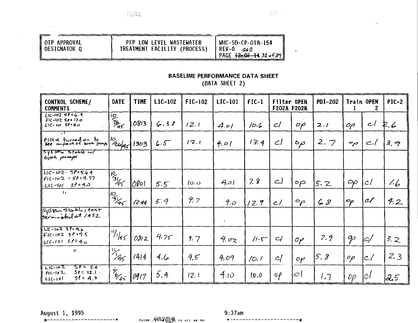$\ddot{\phantom{0}}$ 

| I OTP APPROVAL<br>  DESIGNATOR Q | PFP LOW LEVEL WASTEWATER<br>TREATMENT FACILITY (PROCESS) | WHC-SD-CP-OTR-154<br>i REV-0<br>66 N<br>PAGE $\frac{1260f-14}{226f+37}$ |
|----------------------------------|----------------------------------------------------------|-------------------------------------------------------------------------|
|                                  |                                                          |                                                                         |

## **BASELINE PERFORMANCE DATA SHEET**

(DATA SHEET 2)

| CONTROL SCHEME/<br><b>COMMENTS</b>                                               | DATE                      | <b>TIME</b> | LIC-102 | FIC-102 | <b>LIC-101</b> | $FIC-1$ | Filter OPEN<br><b>F202A F202B</b> |                           | <b>PDI-202</b> |                   | Train OPEN | <b>PIC-2</b> |
|----------------------------------------------------------------------------------|---------------------------|-------------|---------|---------|----------------|---------|-----------------------------------|---------------------------|----------------|-------------------|------------|--------------|
| $11C - 1029006.4$<br>$F1C-102$ $S24$ $12.0$<br>$L1C-101 50.40$                   | $\frac{10}{25}$           | 0813        | 6.38    | 12.1    | 4.01           | 10.6    | $\mathcal{C}$                     | op                        | 2.1            | OP                | اے         | ₽.6          |
| PIOI A turned on to                                                              | $1^{\circ}$ $\frac{1}{2}$ | 1303        | 6.5     | 12.1    | 4.01           | 13.4    | Cl                                | $\mathfrak{o}_{\rho}$     | 2.7            | يهم               | $\subset$  | 3, 7         |
| $5$ s s $\approx$ state $\omega$<br>both peops                                   |                           |             |         |         |                |         |                                   |                           |                |                   |            |              |
| $LiC-102.590564$<br>   FIC-102 = 5P=9.77<br>$5\rho$ = 4.0<br>$L$ l $C$ -lol $\;$ | $\frac{1}{\sqrt{3}}$      | 10801       | 5.5     | ن دا    | 4.01           | 7.8     | اے                                | $\circ \varphi$           | 5. Z           | $\infty$          | c          | 1.6          |
| Π.                                                                               | $\frac{10}{3165}$         | 1244        | 5.9     | 9.7     | 4.о            | 12.7    | ارح                               | $^{\circ}$ p              | 68             | Op                | сľ         | 4.2          |
| System stable, test<br>Herminated at 1452                                        |                           |             |         |         |                |         |                                   |                           |                |                   |            |              |
| $\sqrt{U(-102.5)} = 9.6$<br>$F1C-102$ sp.9.5<br>$ UCA01 \times 104 $             | $1\frac{1}{45}$           | 0812        | 4.75    | 9.7     | 4.02           | 11.5    | H                                 | $\mathcal{O} \mathcal{P}$ | 7.9            | $\mathcal{P}$     | $\varphi$  | 3.2          |
| $\pmb{\mathcal{H}}$                                                              | $\frac{1}{45}$            | 1414        | 4.(6)   | 9.5     | 4.09           | 10.1    | c/                                | oр                        | 5.8            | $^{\circ}$        | c          | 2.3          |
| $57 - 54$<br>$LiC-102$<br>$F1C-102$<br>$51< 12.1$ .<br>$5! = 4.0$<br>   LIC-101  | $\frac{1}{65}$            | 0917        | 5.4     | 12.1    | 4.10           | ${0,0}$ | oβ                                | $\mathcal{O}$             | ר, ו           | $\mathcal{D}\rho$ | 1C/        | 12.5         |

August 1, 1995

 $\mathbf{r}$ 

THINK AND AND IN ALL WE DO

 $9:37am$ 4---------------------**-**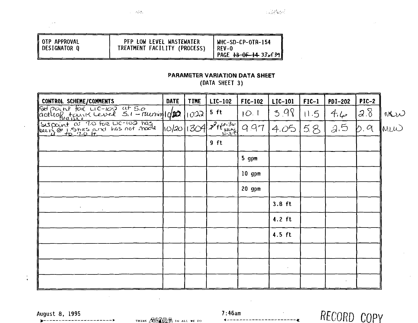| OTP APPROVAL<br><b>DESIGNATOR Q</b> | PFP LOW LEVEL WASTEWATER<br>TREATMENT FACILITY (PROCESS) | WHC-SD-CP-OTR-154<br>REV-0<br>PAGE $13-0F-14-33$ of 39 |
|-------------------------------------|----------------------------------------------------------|--------------------------------------------------------|
|                                     |                                                          |                                                        |

 $\tau = 5.3 \tau_0$ 

## PARAMETER VARIATION DATA SHEET

 $\sim 22\, \mathrm{MeV}$ 

(DATA SHEET 3)

| CONTROL SCHEME/COMMENTS                                           | <b>DATE</b> | <b>TIME</b> | LIC-102                                     | FIC-102  | LIC-101  | $FIC-1$ | <b>PDI-202</b> | $PIC-2$               |      |
|-------------------------------------------------------------------|-------------|-------------|---------------------------------------------|----------|----------|---------|----------------|-----------------------|------|
| Set point for LIC-100 at 5.0<br>actual tank Level 5.1 - Municipal |             | בכסן'       | $5$ ft                                      | 10.1     | 3.98     | 11.5    | 4.4            | $2.\overline{\delta}$ | MW   |
| subpoint at TO for LIC-102 has                                    | 10/20 1304  |             | $\overline{\mathscr{X}}$ ft $\lim_{b\to 0}$ | 9.97     | 4.05     | 5.8     | 2.5            | b.9                   | lmLW |
|                                                                   |             |             | $9$ ft                                      |          |          |         |                |                       |      |
|                                                                   |             |             |                                             | $5$ gpm  |          |         |                |                       |      |
|                                                                   |             |             |                                             | $10$ gpm |          |         |                |                       |      |
|                                                                   |             |             |                                             | $20$ gpm |          |         |                |                       |      |
|                                                                   |             |             |                                             |          | $3.8$ ft |         |                |                       |      |
|                                                                   |             |             |                                             |          | $4.2$ ft |         |                |                       |      |
|                                                                   |             |             |                                             |          | $4.5$ ft |         |                |                       |      |
|                                                                   |             |             |                                             |          |          |         |                |                       |      |
|                                                                   |             |             |                                             |          |          |         |                |                       |      |
|                                                                   |             |             |                                             |          |          |         | $\cdot$        |                       |      |

August 8, 1995

 $\rightarrow -$ 

 $\frac{1}{4}$ 

THINK AVANE IN ALL WE DO

 $7:46$ am

RECORD COPY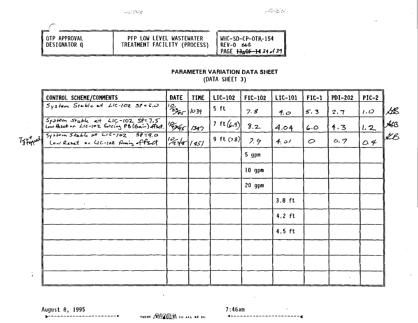18239998

 $\left\langle \left\langle \mathcal{A}_{1} \right\rangle \right\rangle \left\langle \left\langle \mathcal{A}_{2} \right\rangle \right\rangle \left\langle \left\langle \mathcal{A}_{1} \right\rangle \right\rangle$ 

OTP APPROVAL<br>DESIGNATOR Q

# PFP LOW LEVEL WASTEWATER<br>TREATMENT FACILITY (PROCESS)

WHC-SD-CP-OTR-154<br>REV-0 668<br>PAGE <del>13<sub>3</sub>0F-14</del> 34 of 39

## PARAMETER VARIATION DATA SHEET

(DATA SHEET 3)

|           | CONTROL SCHEME/COMMENTS                                                                  | DATE                                       | <b>TIME</b> | LIC-102      | FIC-102  | LIC-101  | $FIC-1$ | <b>PDI-202</b> | $PIC-2$ |                 |
|-----------|------------------------------------------------------------------------------------------|--------------------------------------------|-------------|--------------|----------|----------|---------|----------------|---------|-----------------|
|           | $Syslem Stable$ at LIC-102 $Sf=6.0$                                                      | $\frac{1}{2}$                              | 1039        | 5 ft         | 7.8      | 4.0      | 5.3     | 2.7            | 1.0     | Ŀß              |
|           | System Stable at LIC-102 SP=7.5<br>Low Reset on LIC-102 forcing PB (Gair) Asd. 2995 1347 |                                            |             | 7 ft $(6.9)$ | 8.2      | 4.04     | 6.0     | 4.3            | 1,2     | $\frac{1}{100}$ |
|           | Trated System Stable at LIC-102 SP=9.0<br>Trated Low React on LIC-102 finally offset     | $\frac{1}{2}$ $\frac{2}{1}$ $\frac{1}{45}$ |             | 9 ft $(7.9)$ | 7.9      | 4.01     | $\circ$ | 0.7            | 0.4     |                 |
|           |                                                                                          |                                            |             |              | 5 gpm    |          |         |                |         |                 |
|           |                                                                                          |                                            |             |              | $10$ gpm |          |         |                |         |                 |
|           |                                                                                          |                                            |             |              | 20 gpm   |          |         |                |         |                 |
|           |                                                                                          |                                            |             |              |          | $3.8$ ft |         |                |         |                 |
|           |                                                                                          |                                            |             |              |          | $4.2$ ft |         |                |         |                 |
|           |                                                                                          |                                            |             |              |          | $4.5$ ft |         |                |         |                 |
|           |                                                                                          |                                            |             |              |          |          |         |                |         |                 |
|           |                                                                                          |                                            |             |              |          |          |         |                |         |                 |
| $\bullet$ |                                                                                          |                                            |             |              |          |          |         |                |         |                 |

 $\mathbf{r}$ 

August 8, 1995

---------

THINK AVAVAVA IN ALL WE DO

 $7:46am$ 4------------------------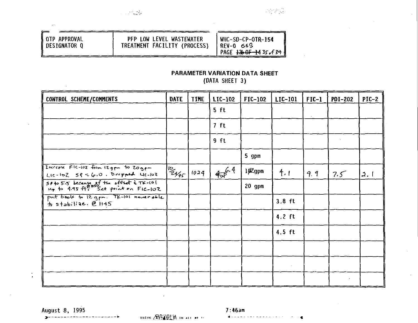|  | OTP APPROVAL<br>DESIGNATOR O | PFP LOW LEVEL WASTEWATER<br>TREATMENT FACILITY (PROCESS) | WHC-SD-CP-OTR-154<br>RFV-0 669<br>PAGE $1360F - 14356639$ |
|--|------------------------------|----------------------------------------------------------|-----------------------------------------------------------|
|--|------------------------------|----------------------------------------------------------|-----------------------------------------------------------|

# **PARAMETER VARIATION DATA SHEET**

(DATA SHEET 3)

| CONTROL SCHEME/COMMENTS                                                         | DATE                   | <b>TIME</b> | LIC-102 | FIC-102  | LIC-101  | $FIC-1$ | <b>PDI-202</b> | $PIC-2$ |
|---------------------------------------------------------------------------------|------------------------|-------------|---------|----------|----------|---------|----------------|---------|
|                                                                                 |                        |             | $5$ ft  |          |          |         |                |         |
|                                                                                 |                        |             | $7$ ft  |          |          |         |                |         |
|                                                                                 |                        |             | 9 ft    |          |          |         |                |         |
|                                                                                 |                        |             |         | 5 gpm    |          |         |                |         |
| Increase FIC-102 from 12gpm to Zogpm<br>$Lic - 102 - 58 < 6.0$ . Drupped 4c-102 | $\frac{10}{2465}$ 1024 |             | 456.4   | 102gpm   | 4.1      | 9.9     | 7.5            | 2.1     |
| SP to 5.5 because of the offset & TK-101                                        |                        |             |         | $20$ gpm |          |         |                |         |
| put book to 12 gpm. TK-101 never able<br>$h$ stabilize. $e$ 1145                |                        |             |         |          | $3.8$ ft |         |                |         |
|                                                                                 |                        |             |         |          | $4.2$ ft |         |                |         |
|                                                                                 |                        |             |         |          | $4.5$ ft |         |                |         |
|                                                                                 |                        |             |         |          |          |         |                |         |
|                                                                                 |                        |             |         |          |          |         |                |         |
|                                                                                 |                        |             |         |          |          |         |                |         |

 $3 - - - - - -$ 

August 8, 1995 7:46am<br> **August 8, 1995** 7:46am<br> **August 8, 1995** 7:46am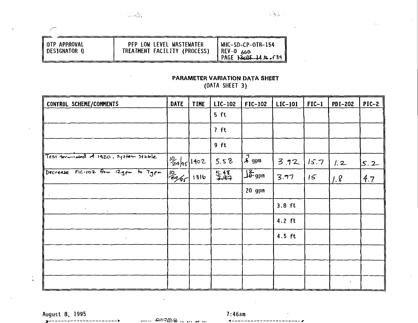| ∥ OTP APPROVAL | PFP LOW LEVEL WASTEWATER     | l WHC-SD-CP-OTR-154 |
|----------------|------------------------------|---------------------|
| ∥DESIGNATOR Q  | TREATMENT FACILITY (PROCESS) | $REV-0.665$         |
|                |                              | PAGE 13c0F 1436.639 |

## **PARAMETER VARIATION DATA SHEET**

(DATA SHEET 3)

| CONTROL SCHEME/COMMENTS                                                                     | <b>DATE</b>              | <b>TIME</b> | LIC-102 | FIC-102           | LIC-101  | $FIC-1$ | <b>PDI-202</b> | $PIC-2$ |
|---------------------------------------------------------------------------------------------|--------------------------|-------------|---------|-------------------|----------|---------|----------------|---------|
|                                                                                             |                          |             | $5$ ft  |                   |          |         |                |         |
|                                                                                             |                          |             | 7 ft    |                   |          |         |                |         |
|                                                                                             |                          |             | $9$ ft  |                   |          |         |                |         |
| Test termisted of 1920, system stable                                                       | $\frac{10}{2}a a5 $ 1402 |             | 5.58    | $\sqrt{a}$ gpm    | 3.92     | 15.7    | 1.2            | 5.2     |
| Decrease FIC-102 from 12gpm to 7gpm                                                         | $\sqrt{\frac{10}{296}}$  | 1316        | 5.48    | $\frac{1}{2}$ opm | 3.77     | 15      | 1.8            | 4.7     |
|                                                                                             |                          |             |         | 20 gpm            |          |         |                |         |
| $\mathcal{F}^{\mathcal{A}}_{\mathcal{A}}$ , where $\mathcal{F}^{\mathcal{A}}_{\mathcal{A}}$ |                          |             |         |                   | $3.8$ ft |         |                |         |
|                                                                                             |                          |             |         |                   | $4.2$ ft |         |                |         |
|                                                                                             |                          |             |         |                   | $4.5$ ft |         |                |         |
|                                                                                             |                          |             |         |                   |          |         |                |         |
|                                                                                             |                          |             |         |                   |          |         |                |         |
|                                                                                             |                          |             |         |                   |          |         | $\bullet$      |         |

 $\mathbf{B}$ 

 $\ddot{\cdot}$ 

 $\sqrt{ }$ 

August 8, 1995 7:46am<br>
<br>
August 8, 1995 7:46am (1995 - 1996 - 1997 - 1998 - 1998 - 1998 - 1999 - 1999 - 1999 - 1999 - 1999 - 1999 - 1

 $4 - -$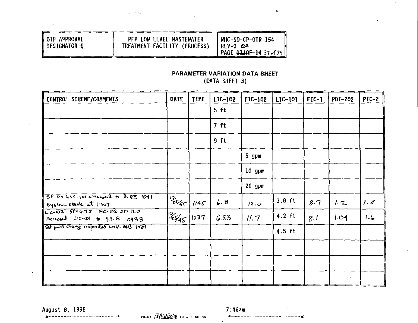| I OTP APPROVAL<br>DESIGNATOR O | PFP LOW LEVEL WASTEWATER<br>TREATMENT FACILITY (PROCESS) | WHC-SD-CP-OTR-154<br>IRFV–∩ 6≾8<br>' PAGE 4340F-14 37. f39 |
|--------------------------------|----------------------------------------------------------|------------------------------------------------------------|
|                                |                                                          |                                                            |

 $\chi=2.6\,\mathrm{km}$  .

# PARAMETER VARIATION DATA SHEET

the season.

(DATA SHEET 3)

| CONTROL SCHEME/COMMENTS                                                                             | <b>DATE</b>             | <b>TIME</b> | LIC-102 | FIC-102  | LIC-101  | $FIC-1$ | PD1-202   | $PIC-2$ |
|-----------------------------------------------------------------------------------------------------|-------------------------|-------------|---------|----------|----------|---------|-----------|---------|
|                                                                                                     |                         |             | 5 ft    |          |          |         |           |         |
|                                                                                                     |                         |             | 7 ft    |          |          |         |           |         |
|                                                                                                     |                         |             | 9 ft    |          |          |         |           |         |
|                                                                                                     |                         |             |         | 5 gpm    |          |         |           |         |
|                                                                                                     |                         |             |         | $10$ gpm |          |         |           |         |
|                                                                                                     |                         |             |         | $20$ gpm |          |         |           |         |
| $5001$ con LIC-1DI changed to 3.00 1041<br>System stable at 1307<br>Lic-102 SPEG.95 FIC-102 SPE12.0 | $1\frac{10}{26}$ $1145$ |             | 6.8     | 12.0     | $3.8$ ft | 8.7     | 1.2       | 1.8     |
| Derived LIC-101 to t.2 8 0933                                                                       | $\frac{10}{2565}$       | 1037        | 6.83    | II.7     | $4.2$ ft | 8.1     | 1.04      | 1.6     |
| Set point change responded well. ALB 1037                                                           |                         |             |         |          | $4.5$ ft |         |           |         |
|                                                                                                     |                         |             |         |          |          |         |           |         |
|                                                                                                     |                         |             |         |          |          |         |           |         |
|                                                                                                     |                         |             |         |          |          |         | $\bullet$ |         |

August 8, 1995

---*---*--

 $3 - - - - - -$ 

 $\ddot{\cdot}$ 

THINK AVANA IN ALL WE DO

 $7:46am$ **4------------------------**

 $\bar{L}$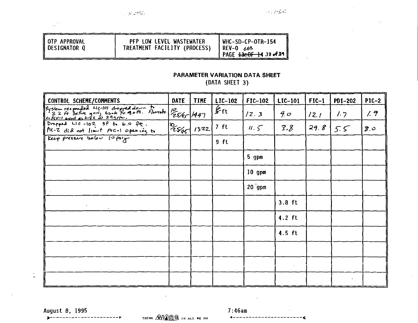|  | ∣OTP APPROVAL<br>DESIGNATOR O | PFP LOW LEVEL WASTEWATER<br>TREATMENT FACILITY (PROCESS) | WHC-SD-CP-OTR-154<br>1 REV−0 66≌<br>`PAGE <del>13e0F 14</del> 38σf3¶ ⊪ |
|--|-------------------------------|----------------------------------------------------------|------------------------------------------------------------------------|
|--|-------------------------------|----------------------------------------------------------|------------------------------------------------------------------------|

### **PARAMETER VARIATION DATA SHEET** (DATA SHEET 3)

| CONTROL SCHEME/COMMENTS                                                                    | DATE                             | <b>TIME</b> | LIC-102                                | <b>FIC-102</b> | LIC-101  | $FIC-1$ | <b>PDI-202</b> | $PIC-2$ |
|--------------------------------------------------------------------------------------------|----------------------------------|-------------|----------------------------------------|----------------|----------|---------|----------------|---------|
| system responsed LIC-101 dropped down to 10 125/65 1447<br>1. RV-1 went as high as 293/10. |                                  |             | $\overline{\mathscr{L}_{\mathsf{ft}}}$ | 12.3           | 40       | 12.1    | 1.7            | 1.9     |
| PIC-Z did not limit FIC-1 opening to                                                       | $ {}^{\circ}\!\!\epsilon\!\!\!>$ | 1322        | 7 ft                                   | 11.5           | 3.8      | 29.8    | 5.5            | ن ج     |
| Keep pressure below 10 psig                                                                |                                  |             | $9$ ft                                 |                |          |         |                |         |
|                                                                                            |                                  |             |                                        | 5 gpm          |          |         |                |         |
|                                                                                            |                                  |             |                                        | $10$ gpm       |          |         |                |         |
|                                                                                            |                                  |             |                                        | $20$ gpm       |          |         |                |         |
|                                                                                            |                                  |             |                                        |                | $3.8$ ft |         |                |         |
|                                                                                            |                                  |             |                                        |                | $4.2$ ft |         |                |         |
|                                                                                            |                                  |             |                                        |                | $4.5$ ft |         |                |         |
|                                                                                            |                                  |             |                                        |                |          |         |                |         |
|                                                                                            |                                  |             |                                        |                |          |         |                |         |
|                                                                                            |                                  |             |                                        |                |          |         |                |         |

--------

 $\ddot{\cdot}$ 

**August 8, 1995 7:46am**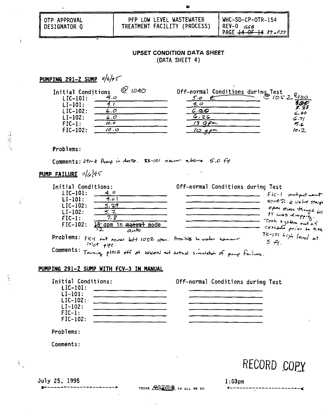| <b>NOTP APPROVAL</b><br><b>I</b> DESIGNATOR O | PFP LOW LEVEL WASTEWATER.<br>TREATMENT FACILITY (PROCESS) | WHC-SD-CP-OTR-154<br>REV-0<br>GGB<br>PAGE <del>14 OF 14</del> 39 - f39 |
|-----------------------------------------------|-----------------------------------------------------------|------------------------------------------------------------------------|
|                                               |                                                           |                                                                        |

#### **UPSET CONDITION DATA SHEET** (DATA SHEET 4)

 $\mathbf{r}$ 

**PUMPING 291-Z SUMP**

| Initial Conditions | 1040 | Off-normal Conditions during Test |            |
|--------------------|------|-----------------------------------|------------|
| $LIC-101:$         | ن.4  | 5.0                               | 1052       |
| $LI-101:$          |      | 4. O                              | $\sqrt{2}$ |
| $LIC-102:$         | 6.0  | .2C                               | 6.00       |
| $LI-102:$          | L.O  | 26                                | 6.71       |
| $FIC-1$ :          | 10.0 | $\sim$                            | 7.6        |
| $FIC-102$ :        | ن 10 | a an                              | 10.7       |
|                    |      |                                   |            |

Problems:

Ť.

Ť

 $\hat{\mathbf{V}}_{\mu}$ 

Comments: 291-2 Pump in Anto. 5K-101 neuer ebove 5.0

**PUMP FAILURE**

| Initial Conditions: |                                                                    | Off-normal Conditions during Test |                              |
|---------------------|--------------------------------------------------------------------|-----------------------------------|------------------------------|
| $LIC-101:$          |                                                                    |                                   | $Fic-1$ order $r$ want       |
| $LI-101:$           | 4.01                                                               |                                   | $t$ -102 $\zeta$ value stays |
| $LIC-102:$          | 5.39                                                               |                                   |                              |
| $LI-102:$           | 5.2                                                                |                                   | open even though lie         |
| FIC-1:              |                                                                    |                                   |                              |
| $FIC-102$ :         | 15 gpm<br>in <del>manual</del> mode                                |                                   | Took system out of           |
|                     | محدم                                                               |                                   | cascade prior to hith        |
|                     | Problems: FIG-1 out never left 100% gren. Possible to water homeur |                                   | $7k-101$ $Lijk$ level at     |
|                     | intet type.                                                        |                                   | $5 \nleftrightarrow$         |
|                     | $Commonents: -$                                                    |                                   |                              |

## Comments:<sup>T</sup>

#### **PUMPING 291-Z SUMP WITH FCV-3 IN MANUAL**



Problems:

Comments:

RECORD COPY

July 25, 1995 1:03pm<br>
>---------------------> THINK AVARA IN ALL WE DO 1------------------------------